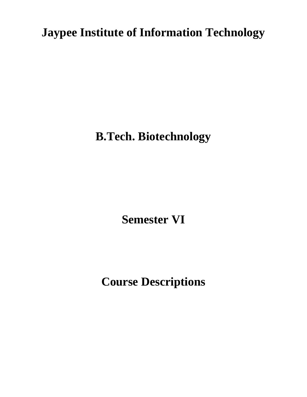**Jaypee Institute of Information Technology**

**B.Tech. Biotechnology**

**Semester VI**

**Course Descriptions**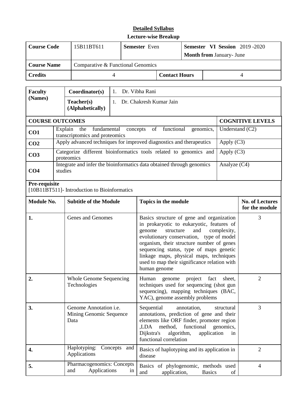| <b>Course Code</b> | 15B11BT611                        | <b>Semester</b> Even | <b>Semester VI Session</b> 2019 -2020<br><b>Month from January- June</b> |  |  |  |
|--------------------|-----------------------------------|----------------------|--------------------------------------------------------------------------|--|--|--|
| <b>Course Name</b> | Comparative & Functional Genomics |                      |                                                                          |  |  |  |
| <b>Credits</b>     |                                   | <b>Contact Hours</b> |                                                                          |  |  |  |

| <b>Faculty</b>                                                                     | Coordinator(s)                                                                  | Dr. Vibha Rani<br>$\mathbf{1}_{\cdot}$                                |                         |  |  |  |  |
|------------------------------------------------------------------------------------|---------------------------------------------------------------------------------|-----------------------------------------------------------------------|-------------------------|--|--|--|--|
| (Names)                                                                            | Teacher(s)<br>(Alphabetically)                                                  | Dr. Chakresh Kumar Jain                                               |                         |  |  |  |  |
|                                                                                    | <b>COURSE OUTCOMES</b>                                                          |                                                                       | <b>COGNITIVE LEVELS</b> |  |  |  |  |
| Explain<br>fundamental<br>the<br>CO <sub>1</sub><br>transcriptomics and proteomics |                                                                                 | concepts of functional<br>genomics,                                   | Understand $(C2)$       |  |  |  |  |
| CO <sub>2</sub>                                                                    |                                                                                 | Apply advanced techniques for improved diagnostics and therapeutics   | Apply (C3)              |  |  |  |  |
| CO <sub>3</sub>                                                                    | Categorize different bioinformatics tools related to genomics and<br>proteomics | Apply $(C3)$                                                          |                         |  |  |  |  |
| CO <sub>4</sub>                                                                    | studies                                                                         | Integrate and infer the bioinformatics data obtained through genomics | Analyze $(C4)$          |  |  |  |  |

#### **Pre-requisite**

[10B11BT511]- Introduction to Bioinformatics

| Module No. | <b>Subtitle of the Module</b>                                    | Topics in the module                                                                                                                                                                                                                                                                                                                                                               | <b>No. of Lectures</b><br>for the module |
|------------|------------------------------------------------------------------|------------------------------------------------------------------------------------------------------------------------------------------------------------------------------------------------------------------------------------------------------------------------------------------------------------------------------------------------------------------------------------|------------------------------------------|
| 1.         | Genes and Genomes                                                | Basics structure of gene and organization<br>in prokaryotic to eukaryotic, features of<br>and<br>structure<br>complexity,<br>genome<br>evolutionary conservation, type of model<br>organism, their structure number of genes<br>sequencing status, type of maps genetic<br>linkage maps, physical maps, techniques<br>used to map their significance relation with<br>human genome | 3                                        |
| 2.         | Whole Genome Sequencing<br>Technologies                          | Human<br>genome project fact<br>sheet,<br>techniques used for sequencing (shot gun<br>sequencing), mapping techniques (BAC,<br>YAC), genome assembly problems                                                                                                                                                                                                                      | $\overline{2}$                           |
| 3.         | Genome Annotation <i>i.e.</i><br>Mining Genomic Sequence<br>Data | Sequential<br>annotation,<br>structural<br>annotations, prediction of gene and their<br>elements like ORF finder, promoter region<br>method,<br>functional<br>genomics,<br>LDA.<br>Dijkstra's<br>algorithm,<br>application<br>in<br>functional correlation                                                                                                                         | 3                                        |
| 4.         | Haplotyping:<br>Concepts and<br>Applications                     | Basics of haplotyping and its application in<br>disease                                                                                                                                                                                                                                                                                                                            | $\overline{2}$                           |
| 5.         | Pharmacogenomics: Concepts<br>Applications<br>and<br>in          | Basics of phylogenomic, methods used<br>application,<br>and<br><b>Basics</b><br>of                                                                                                                                                                                                                                                                                                 | 4                                        |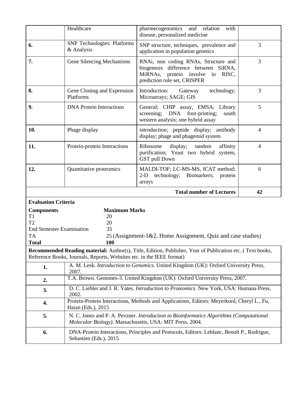|                                                                                                           | Healthcare                                                            | pharmecogenomics and relation<br>with<br>disease, personalized medicine                                                                                   |                |
|-----------------------------------------------------------------------------------------------------------|-----------------------------------------------------------------------|-----------------------------------------------------------------------------------------------------------------------------------------------------------|----------------|
| 6.                                                                                                        | <b>SNP</b> Technologies: Platforms<br>& Analysis                      | SNP structure, techniques, prevalence and<br>application in population genetics                                                                           | 3              |
| 7.                                                                                                        | Gene Silencing Mechanisms                                             | RNAi, non coding RNAs, Structure and<br>biogenesis difference between SiRNA,<br>MiRNAs,<br>protein involve<br>in<br>RISC.<br>prediction rule set, CRISPER | 3              |
| 8.                                                                                                        | Gene Cloning and Expression<br>Platforms                              | technology;<br>Introduction:<br>Gateway<br>Microarrays; SAGE; GIS                                                                                         | 3              |
| 9.                                                                                                        | <b>DNA</b> Protein Interactions                                       | General; CHIP assay, EMSA; Library<br>screening; DNA foot-printing;<br>south<br>western analysis; one hybrid assay                                        | 5              |
| 10.                                                                                                       | Phage display                                                         | introduction; peptide display; antibody<br>display; phage and phagemid system                                                                             | $\overline{4}$ |
| 11.                                                                                                       | Protein-protein Interactions                                          | display; tandem<br>Ribosome<br>affinity<br>purification; Yeast two hybrid system,<br><b>GST</b> pull Down                                                 | $\overline{4}$ |
| 12.                                                                                                       | Quantitative proteomics                                               | MALDI-TOF; LC-MS-MS, ICAT method;<br>technology; Biomarkers;<br>$2-D$<br>protein                                                                          | 6              |
|                                                                                                           |                                                                       | arrays                                                                                                                                                    |                |
|                                                                                                           |                                                                       | <b>Total number of Lectures</b>                                                                                                                           | 42             |
| <b>Evaluation Criteria</b>                                                                                |                                                                       |                                                                                                                                                           |                |
| <b>Components</b><br>T <sub>1</sub><br>T2<br><b>End Semester Examination</b><br><b>TA</b><br><b>Total</b> | <b>Maximum Marks</b><br>20<br>20<br>35<br>100                         | 25 (Assignment-1&2, Home Assignment, Quiz and case studies)                                                                                               |                |
|                                                                                                           | Reference Books, Journals, Reports, Websites etc. in the IEEE format) | Recommended Reading material: Author(s), Title, Edition, Publisher, Year of Publication etc. (Text books,                                                 |                |
| 1.                                                                                                        | 2007.                                                                 | A. M. Lesk. Introduction to Genomics. United Kingdom (UK): Oxford University Press,                                                                       |                |
| 2.                                                                                                        |                                                                       | T.A. Brown. Genomes-3. United Kingdom (UK): Oxford University Press, 2007.                                                                                |                |
| 3.                                                                                                        | 2002.                                                                 | D. C. Liebler and J. R. Yates. Introduction to Proteomics. New York, USA: Humana Press,                                                                   |                |
| 4.                                                                                                        | Haian (Eds.), 2015                                                    | Protein-Protein Interactions, Methods and Applications, Editors: Meyerkord, Cheryl L., Fu,                                                                |                |
| 5.                                                                                                        | Molecular Biology). Massachusetts, USA: MIT Press, 2004.              | N. C. Jones and P. A. Pevzner. Introduction to Bioinformatics Algorithms (Computational                                                                   |                |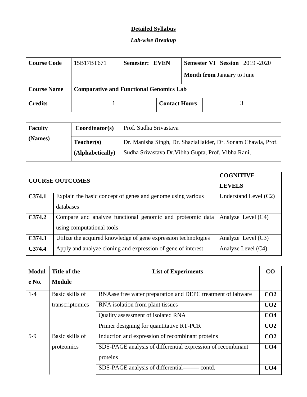### **Detailed Syllabus**

# *Lab-wise Breakup*

| <b>Course Code</b> | 15B17BT671 | Semester: EVEN                                 |                      |  |  |                                   | <b>Semester VI Session</b> 2019-2020 |
|--------------------|------------|------------------------------------------------|----------------------|--|--|-----------------------------------|--------------------------------------|
|                    |            |                                                |                      |  |  | <b>Month from January to June</b> |                                      |
| <b>Course Name</b> |            | <b>Comparative and Functional Genomics Lab</b> |                      |  |  |                                   |                                      |
| <b>Credits</b>     |            |                                                | <b>Contact Hours</b> |  |  |                                   |                                      |

| <b>Faculty</b> | Coordinator(s)   | Prof. Sudha Srivastava                                       |
|----------------|------------------|--------------------------------------------------------------|
| (Names)        | Teacher(s)       | Dr. Manisha Singh, Dr. ShaziaHaider, Dr. Sonam Chawla, Prof. |
|                | (Alphabetically) | Sudha Srivastava Dr. Vibha Gupta, Prof. Vibha Rani,          |

|        | <b>COURSE OUTCOMES</b>                                         | <b>COGNITIVE</b><br><b>LEVELS</b> |
|--------|----------------------------------------------------------------|-----------------------------------|
| C374.1 | Explain the basic concept of genes and genome using various    | Understand Level $(C2)$           |
|        | databases                                                      |                                   |
| C374.2 | Compare and analyze functional genomic and proteomic data      | Analyze Level $(C4)$              |
|        | using computational tools                                      |                                   |
| C374.3 | Utilize the acquired knowledge of gene expression technologies | Analyze Level $(C3)$              |
| C374.4 | Apply and analyze cloning and expression of gene of interest   | Analyze Level (C4)                |

| <b>Modul</b> | Title of the    | <b>List of Experiments</b>                                  | CO <sub>0</sub> |
|--------------|-----------------|-------------------------------------------------------------|-----------------|
| $e$ No.      | <b>Module</b>   |                                                             |                 |
| $1-4$        | Basic skills of | RNAase free water preparation and DEPC treatment of labware | CO <sub>2</sub> |
|              | transcriptomics | RNA isolation from plant tissues                            | CO <sub>2</sub> |
|              |                 | Quality assessment of isolated RNA                          | CO <sub>4</sub> |
|              |                 | Primer designing for quantitative RT-PCR                    | CO <sub>2</sub> |
| $5-9$        | Basic skills of | Induction and expression of recombinant proteins            | CO <sub>2</sub> |
|              | proteomics      | SDS-PAGE analysis of differential expression of recombinant | CO <sub>4</sub> |
|              |                 | proteins                                                    |                 |
|              |                 | SDS-PAGE analysis of differential-------- contd.            | CO <sub>4</sub> |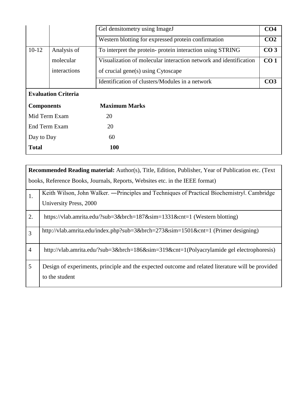|                   |                            | Gel densitometry using ImageJ                                     | CO <sub>4</sub> |
|-------------------|----------------------------|-------------------------------------------------------------------|-----------------|
|                   |                            | Western blotting for expressed protein confirmation               | CO <sub>2</sub> |
| $10-12$           | Analysis of                | To interpret the protein- protein interaction using STRING        | CO <sub>3</sub> |
|                   | molecular                  | Visualization of molecular interaction network and identification | CO <sub>1</sub> |
|                   | interactions               | of crucial gene(s) using Cytoscape                                |                 |
|                   |                            | Identification of clusters/Modules in a network                   | CO <sub>3</sub> |
|                   | <b>Evaluation Criteria</b> |                                                                   |                 |
| <b>Components</b> |                            | <b>Maximum Marks</b>                                              |                 |
| Mid Term Exam     |                            | 20                                                                |                 |
| End Term Exam     |                            | 20                                                                |                 |
| Day to Day        |                            | 60                                                                |                 |
|                   |                            |                                                                   |                 |

|                | <b>Recommended Reading material:</b> Author(s), Title, Edition, Publisher, Year of Publication etc. (Text |  |  |  |  |  |
|----------------|-----------------------------------------------------------------------------------------------------------|--|--|--|--|--|
|                | books, Reference Books, Journals, Reports, Websites etc. in the IEEE format)                              |  |  |  |  |  |
| 1.             | Keith Wilson, John Walker. — Principles and Techniques of Practical Biochemistryl. Cambridge              |  |  |  |  |  |
|                | University Press, 2000                                                                                    |  |  |  |  |  |
| 2.             | https://vlab.amrita.edu/?sub=3&brch=187∼=1331&cnt=1 (Western blotting)                                    |  |  |  |  |  |
| 3              | http://vlab.amrita.edu/index.php?sub=3&brch=273∼=1501&cnt=1 (Primer designing)                            |  |  |  |  |  |
| $\overline{4}$ | http://vlab.amrita.edu/?sub=3&brch=186∼=319&cnt=1(Polyacrylamide gel electrophoresis)                     |  |  |  |  |  |
| 5              | Design of experiments, principle and the expected outcome and related literature will be provided         |  |  |  |  |  |
|                | to the student                                                                                            |  |  |  |  |  |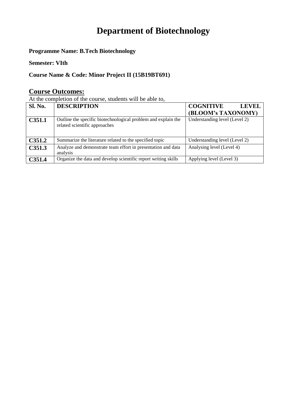# **Department of Biotechnology**

**Programme Name: B.Tech Biotechnology**

**Semester: VIth**

**Course Name & Code: Minor Project II (15B19BT691)**

#### **Course Outcomes:**

At the completion of the course, students will be able to,

| <b>Sl. No.</b>     | <b>DESCRIPTION</b>                                                                             | <b>COGNITIVE</b><br><b>LEVEL</b> |
|--------------------|------------------------------------------------------------------------------------------------|----------------------------------|
|                    |                                                                                                | (BLOOM's TAXONOMY)               |
| C351.1             | Outline the specific biotechnological problem and explain the<br>related scientific approaches | Understanding level (Level 2)    |
| C <sub>351.2</sub> | Summarize the literature related to the specified topic                                        | Understanding level (Level 2)    |
| C <sub>351.3</sub> | Analyze and demonstrate team effort in presentation and data<br>analysis                       | Analysing level (Level 4)        |
| C351.4             | Organize the data and develop scientific report writing skills                                 | Applying level (Level 3)         |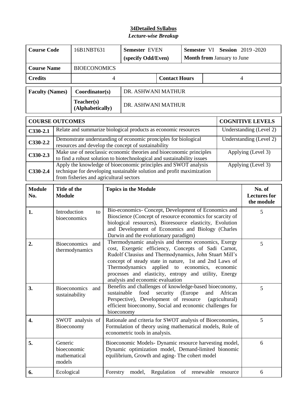| <b>Course Code</b>                        |                                                                                                                                                                                                                                                                                                                                                                                                                     | 16B1NBT631                              |                    |                                                                                                                                                                                                                                                                             | <b>Semester EVEN</b>              |    | Semester VI Session 2019-2020 |          |                                             |
|-------------------------------------------|---------------------------------------------------------------------------------------------------------------------------------------------------------------------------------------------------------------------------------------------------------------------------------------------------------------------------------------------------------------------------------------------------------------------|-----------------------------------------|--------------------|-----------------------------------------------------------------------------------------------------------------------------------------------------------------------------------------------------------------------------------------------------------------------------|-----------------------------------|----|-------------------------------|----------|---------------------------------------------|
|                                           |                                                                                                                                                                                                                                                                                                                                                                                                                     |                                         | (specify Odd/Even) |                                                                                                                                                                                                                                                                             | <b>Month from January to June</b> |    |                               |          |                                             |
| <b>BIOECONOMICS</b><br><b>Course Name</b> |                                                                                                                                                                                                                                                                                                                                                                                                                     |                                         |                    |                                                                                                                                                                                                                                                                             |                                   |    |                               |          |                                             |
| <b>Credits</b>                            | <b>Contact Hours</b><br>4<br>$\overline{4}$                                                                                                                                                                                                                                                                                                                                                                         |                                         |                    |                                                                                                                                                                                                                                                                             |                                   |    |                               |          |                                             |
| <b>Faculty (Names)</b><br>Coordinator(s)  |                                                                                                                                                                                                                                                                                                                                                                                                                     |                                         |                    | DR. ASHWANI MATHUR                                                                                                                                                                                                                                                          |                                   |    |                               |          |                                             |
| Teacher(s)<br>(Alphabetically)            |                                                                                                                                                                                                                                                                                                                                                                                                                     |                                         |                    | DR. ASHWANI MATHUR                                                                                                                                                                                                                                                          |                                   |    |                               |          |                                             |
| <b>COURSE OUTCOMES</b>                    |                                                                                                                                                                                                                                                                                                                                                                                                                     |                                         |                    |                                                                                                                                                                                                                                                                             |                                   |    |                               |          | <b>COGNITIVE LEVELS</b>                     |
| $C330-2.1$                                |                                                                                                                                                                                                                                                                                                                                                                                                                     |                                         |                    | Relate and summarize biological products as economic resources                                                                                                                                                                                                              |                                   |    |                               |          | Understanding (Level 2)                     |
| $C330-2.2$                                |                                                                                                                                                                                                                                                                                                                                                                                                                     |                                         |                    | Demonstrate understanding of economic pronciples for biological<br>resources and develop the concept of sustainability                                                                                                                                                      |                                   |    |                               |          | Understanding (Level 2)                     |
| $C330-2.3$                                |                                                                                                                                                                                                                                                                                                                                                                                                                     |                                         |                    | Make use of neoclassic economic theories and bioeconomic principles<br>to find a robust solution to biotechnological and sustainability issues                                                                                                                              |                                   |    |                               |          | Applying (Level 3)                          |
| $C330-2.4$                                |                                                                                                                                                                                                                                                                                                                                                                                                                     | from fisheries and agricultural sectors |                    | Apply the knowledge of bioeconomic principles and SWOT analysis<br>technique for developing sustainable solution and profit maximization                                                                                                                                    |                                   |    |                               |          | Applying (Level 3)                          |
| <b>Module</b><br>No.                      | Title of the<br><b>Module</b>                                                                                                                                                                                                                                                                                                                                                                                       |                                         |                    | <b>Topics in the Module</b>                                                                                                                                                                                                                                                 |                                   |    |                               |          | No. of<br><b>Lectures</b> for<br>the module |
| 1.                                        | Introduction<br>to<br>bioeconomics                                                                                                                                                                                                                                                                                                                                                                                  |                                         |                    | Bio-economics- Concept, Development of Economics and<br>Bioscience (Concept of resource economics for scarcity of<br>biological resources), Bioresource elasticity, Evolution<br>and Development of Economics and Biology (Charles<br>Darwin and the evolutionary paradigm) |                                   |    |                               |          | 5                                           |
| 2.                                        | Thermodynamic analysis and thermo economics, Exergy<br>Bioeconomics and<br>cost, Exergetic efficiency, Concepts of Sadi Carnot,<br>thermodynamics<br>Rudolf Clausius and Thermodynamics, John Stuart Mill's<br>concept of steady state in nature, 1st and 2nd Laws of<br>Thermodynamics applied to economics, economic<br>processes and elasticity, entropy and utility, Energy<br>analysis and economic evaluation |                                         |                    |                                                                                                                                                                                                                                                                             |                                   |    |                               | 5        |                                             |
| 3.                                        | <b>Bioeconomics</b><br>and<br>sustainability                                                                                                                                                                                                                                                                                                                                                                        |                                         |                    | Benefits and challenges of knowledge-based bioeconomy,<br>food<br>security<br>African<br>sustainable<br>(Europe)<br>and<br>Perspective), Development of resource<br>(agricultural)<br>efficient bioeconomy, Social and economic challenges for<br>bioeconomy                |                                   |    |                               | 5        |                                             |
| 4.                                        | SWOT analysis of<br>Bioeconomy                                                                                                                                                                                                                                                                                                                                                                                      |                                         |                    | Rationale and criteria for SWOT analysis of Bioeconomies,<br>Formulation of theory using mathematical models, Role of<br>econometric tools in analysis.                                                                                                                     |                                   |    |                               | 5        |                                             |
| 5.                                        | Generic<br>bioeconomic<br>mathematical<br>models                                                                                                                                                                                                                                                                                                                                                                    |                                         |                    | Bioeconomic Models- Dynamic resource harvesting model,<br>Dynamic optimization model, Demand-limited bionomic<br>equilibrium, Growth and aging-The cohert model                                                                                                             |                                   |    |                               | 6        |                                             |
| 6.                                        | Ecological                                                                                                                                                                                                                                                                                                                                                                                                          |                                         | Forestry           | model,                                                                                                                                                                                                                                                                      | Regulation                        | of | renewable                     | resource | 6                                           |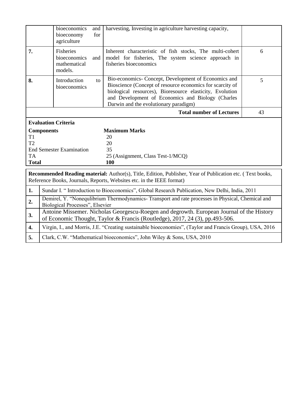|              | bioeconomics<br>bioeconomy<br>agriculture            | and<br>for | harvesting, Investing in agriculture harvesting capacity,                                                                                                                                                                                                                   |    |  |  |  |  |
|--------------|------------------------------------------------------|------------|-----------------------------------------------------------------------------------------------------------------------------------------------------------------------------------------------------------------------------------------------------------------------------|----|--|--|--|--|
| 7.           | Fisheries<br>bioeconomics<br>mathematical<br>models. | and        | Inherent characteristic of fish stocks, The multi-cohert<br>model for fisheries, The system science approach in<br>fisheries bioeconomics                                                                                                                                   | 6  |  |  |  |  |
| 8.           | Introduction<br>bioeconomics                         | to         | Bio-economics- Concept, Development of Economics and<br>Bioscience (Concept of resource economics for scarcity of<br>biological resources), Bioresource elasticity, Evolution<br>and Development of Economics and Biology (Charles<br>Darwin and the evolutionary paradigm) | 5  |  |  |  |  |
|              |                                                      |            | <b>Total number of Lectures</b>                                                                                                                                                                                                                                             | 43 |  |  |  |  |
|              | <b>Evaluation Criteria</b>                           |            |                                                                                                                                                                                                                                                                             |    |  |  |  |  |
|              | <b>Components</b>                                    |            | <b>Maximum Marks</b>                                                                                                                                                                                                                                                        |    |  |  |  |  |
| T1           |                                                      |            | 20                                                                                                                                                                                                                                                                          |    |  |  |  |  |
| T2           |                                                      |            | 20                                                                                                                                                                                                                                                                          |    |  |  |  |  |
|              | <b>End Semester Examination</b>                      |            | 35                                                                                                                                                                                                                                                                          |    |  |  |  |  |
| <b>TA</b>    |                                                      |            | 25 (Assignment, Class Test-1/MCQ)                                                                                                                                                                                                                                           |    |  |  |  |  |
| <b>Total</b> |                                                      |            | 100                                                                                                                                                                                                                                                                         |    |  |  |  |  |
|              |                                                      |            | <b>Recommended Reading material:</b> Author(s), Title, Edition, Publisher, Year of Publication etc. (Text books,<br>Reference Books, Journals, Reports, Websites etc. in the IEEE format)                                                                                   |    |  |  |  |  |
| 1.           |                                                      |            | Sundar I. "Introduction to Bioeconomics", Global Research Publication, New Delhi, India, 2011                                                                                                                                                                               |    |  |  |  |  |
|              |                                                      |            | Demirel, Y. "Nonequlibrium Thermodynamics-Transport and rate processes in Physical, Chemical and<br>Biological Processes", Elsevier                                                                                                                                         |    |  |  |  |  |
| 2.           |                                                      |            |                                                                                                                                                                                                                                                                             |    |  |  |  |  |
| 3.           |                                                      |            | Antoine Missemer. Nicholas Georgescu-Roegen and degrowth. European Journal of the History<br>of Economic Thought, Taylor & Francis (Routledge), 2017, 24 (3), pp.493-506.                                                                                                   |    |  |  |  |  |
| 4.           |                                                      |            | Virgin, I., and Morris, J.E. "Creating sustainable bioeconomies", (Taylor and Francis Group), USA, 2016                                                                                                                                                                     |    |  |  |  |  |

**5.** Clark, C.W. "Mathematical bioeconomics", John Wiley & Sons, USA, 2010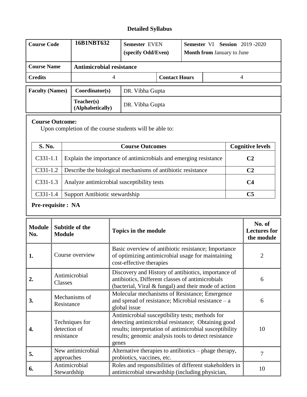# **Detailed Syllabus**

| <b>Course Code</b>     | 16B1NBT632                      | <b>Semester EVEN</b><br>(specify Odd/Even) |                      | <b>Semester VI Session 2019 -2020</b><br><b>Month from January to June</b> |   |  |
|------------------------|---------------------------------|--------------------------------------------|----------------------|----------------------------------------------------------------------------|---|--|
| <b>Course Name</b>     | <b>Antimicrobial resistance</b> |                                            |                      |                                                                            |   |  |
| <b>Credits</b>         | 4                               |                                            | <b>Contact Hours</b> |                                                                            | 4 |  |
| <b>Faculty (Names)</b> | Coordinator(s)                  | DR. Vibha Gupta                            |                      |                                                                            |   |  |
|                        | Teacher(s)<br>(Alphabetically)  | DR. Vibha Gupta                            |                      |                                                                            |   |  |

#### **Course Outcome:**

Upon completion of the course students will be able to:

| S. No.     | <b>Course Outcomes</b>                                           | <b>Cognitive levels</b> |
|------------|------------------------------------------------------------------|-------------------------|
| $C331-1.1$ | Explain the importance of antimicrobials and emerging resistance | C <sub>2</sub>          |
| $C331-1.2$ | Describe the biological mechanisms of antibiotic resistance      | C <sub>2</sub>          |
| $C331-1.3$ | Analyze antimicrobial susceptibility tests                       | C4                      |
| $C331-1.4$ | Support Antibiotic stewardship                                   | C5                      |

# **Pre-requisite : NA**

| <b>Module</b><br>No. | <b>Subtitle of the</b><br><b>Module</b>      | <b>Topics in the module</b>                                                                                                                                                                                                       | No. of<br><b>Lectures for</b><br>the module |
|----------------------|----------------------------------------------|-----------------------------------------------------------------------------------------------------------------------------------------------------------------------------------------------------------------------------------|---------------------------------------------|
| 1.                   | Course overview                              | Basic overview of antibiotic resistance; Importance<br>of optimizing antimicrobial usage for maintaining<br>cost-effective therapies                                                                                              | $\overline{2}$                              |
|                      | Antimicrobial<br>Classes                     | Discovery and History of antibiotics, importance of<br>antibiotics, Different classes of antimicrobials<br>(bacterial, Viral & fungal) and their mode of action                                                                   | 6                                           |
| 3.                   | Mechanisms of<br>Resistance                  | Molecular mechanisms of Resistance; Emergence<br>and spread of resistance; Microbial resistance $-$ a<br>global issue                                                                                                             | 6                                           |
| 4.                   | Techniques for<br>detection of<br>resistance | Antimicrobial susceptibility tests; methods for<br>detecting antimicrobial resistance; Obtaining good<br>results; interpretation of antimicrobial susceptibility<br>results; genomic analysis tools to detect resistance<br>genes | 10                                          |
| 5.                   | New antimicrobial<br>approaches              | Alternative therapies to antibiotics – phage therapy,<br>probiotics, vaccines, etc.                                                                                                                                               | 7                                           |
| 6.                   | Antimicrobial<br>Stewardship                 | Roles and responsibilities of different stakeholders in<br>antimicrobial stewardship (including physician,                                                                                                                        | 10                                          |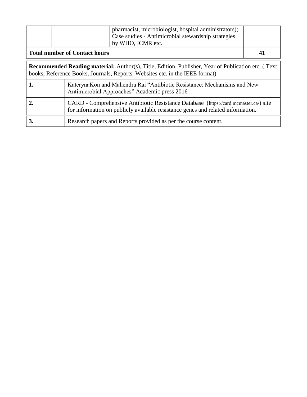|                                                                                                                          | pharmacist, microbiologist, hospital administrators);<br>Case studies - Antimicrobial stewardship strategies<br>by WHO, ICMR etc.                                                  |  |  |  |
|--------------------------------------------------------------------------------------------------------------------------|------------------------------------------------------------------------------------------------------------------------------------------------------------------------------------|--|--|--|
|                                                                                                                          | <b>Total number of Contact hours</b>                                                                                                                                               |  |  |  |
|                                                                                                                          | Recommended Reading material: Author(s), Title, Edition, Publisher, Year of Publication etc. (Text<br>books, Reference Books, Journals, Reports, Websites etc. in the IEEE format) |  |  |  |
| KaterynaKon and Mahendra Rai "Antibiotic Resistance: Mechanisms and New<br>Antimicrobial Approaches" Academic press 2016 |                                                                                                                                                                                    |  |  |  |

| CARD - Comprehensive Antibiotic Resistance Database (https://card.mcmaster.ca/) site<br>for information on publicly available resistance genes and related information. |
|-------------------------------------------------------------------------------------------------------------------------------------------------------------------------|
| Research papers and Reports provided as per the course content.                                                                                                         |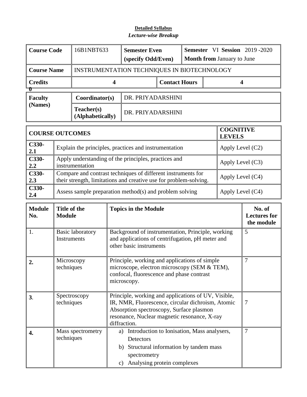| <b>Course Code</b> | 16B1NBT633                     | <b>Semester Even</b><br>(specify Odd/Even)  |                      |  | <b>Semester</b> VI Session 2019 -2020<br><b>Month from January to June</b> |  |  |
|--------------------|--------------------------------|---------------------------------------------|----------------------|--|----------------------------------------------------------------------------|--|--|
| <b>Course Name</b> |                                | INSTRUMENTATION TECHNIQUES IN BIOTECHNOLOGY |                      |  |                                                                            |  |  |
| <b>Credits</b>     |                                |                                             | <b>Contact Hours</b> |  |                                                                            |  |  |
| <b>Faculty</b>     | Coordinator(s)                 | DR. PRIYADARSHINI                           |                      |  |                                                                            |  |  |
| (Names)            | Teacher(s)<br>(Alphabetically) | DR. PRIYADARSHINI                           |                      |  |                                                                            |  |  |

|                | <b>COURSE OUTCOMES</b>                                                                                                            | <b>COGNITIVE</b><br><b>LEVELS</b> |
|----------------|-----------------------------------------------------------------------------------------------------------------------------------|-----------------------------------|
| $C330-$<br>2.1 | Explain the principles, practices and instrumentation                                                                             | Apply Level $(C2)$                |
| C330-<br>2.2   | Apply understanding of the principles, practices and<br>instrumentation                                                           | Apply Level $(C3)$                |
| C330-<br>2.3   | Compare and contrast techniques of different instruments for<br>their strength, limitations and creative use for problem-solving. | Apply Level (C4)                  |
| C330-<br>2.4   | Assess sample preparation method(s) and problem solving                                                                           | Apply Level (C4)                  |

| <b>Module</b><br>No. | Title of the<br><b>Module</b>          | <b>Topics in the Module</b>                                                                                                                                                                                          | No. of<br><b>Lectures for</b><br>the module |
|----------------------|----------------------------------------|----------------------------------------------------------------------------------------------------------------------------------------------------------------------------------------------------------------------|---------------------------------------------|
| 1.                   | <b>Basic laboratory</b><br>Instruments | Background of instrumentation, Principle, working<br>and applications of centrifugation, pH meter and<br>other basic instruments                                                                                     | 5                                           |
| $\overline{2}$ .     | Microscopy<br>techniques               | Principle, working and applications of simple<br>microscope, electron microscopy (SEM & TEM),<br>confocal, fluorescence and phase contrast<br>microscopy.                                                            | 7                                           |
| 3 <sub>1</sub>       | Spectroscopy<br>techniques             | Principle, working and applications of UV, Visible,<br>IR, NMR, Fluorescence, circular dichroism, Atomic<br>Absorption spectroscopy, Surface plasmon<br>resonance, Nuclear magnetic resonance, X-ray<br>diffraction. | 7                                           |
| 4.                   | Mass spectrometry<br>techniques        | Introduction to Ionisation, Mass analysers,<br>a)<br>Detectors<br>b) Structural information by tandem mass<br>spectrometry<br>Analysing protein complexes<br>c)                                                      | 7                                           |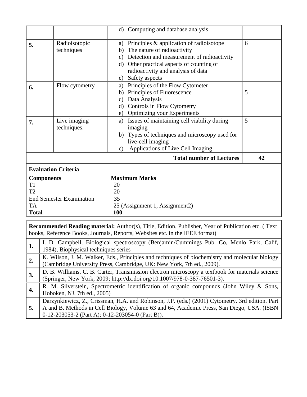|                   |                                      | d) Computing and database analysis                                                                                                                                       |    |
|-------------------|--------------------------------------|--------------------------------------------------------------------------------------------------------------------------------------------------------------------------|----|
| 5.                | Radioisotopic                        | a) Principles & application of radioisotope                                                                                                                              | 6  |
|                   | techniques                           | b) The nature of radioactivity                                                                                                                                           |    |
|                   |                                      | c) Detection and measurement of radioactivity                                                                                                                            |    |
|                   |                                      | d) Other practical aspects of counting of                                                                                                                                |    |
|                   |                                      | radioactivity and analysis of data                                                                                                                                       |    |
|                   |                                      | Safety aspects<br>e)                                                                                                                                                     |    |
| 6.                | Flow cytometry                       | a) Principles of the Flow Cytometer                                                                                                                                      |    |
|                   |                                      | b) Principles of Fluorescence                                                                                                                                            | 5  |
|                   |                                      | c) Data Analysis                                                                                                                                                         |    |
|                   |                                      | d) Controls in Flow Cytometry                                                                                                                                            |    |
|                   |                                      | e) Optimizing your Experiments                                                                                                                                           |    |
| 7.                | Live imaging                         | a) Issues of maintaining cell viability during                                                                                                                           | 5  |
|                   | techniques.                          | imaging                                                                                                                                                                  |    |
|                   |                                      | b) Types of techniques and microscopy used for                                                                                                                           |    |
|                   |                                      | live-cell imaging                                                                                                                                                        |    |
|                   |                                      | Applications of Live Cell Imaging<br>$\mathbf{c})$                                                                                                                       |    |
|                   |                                      |                                                                                                                                                                          |    |
|                   |                                      | <b>Total number of Lectures</b>                                                                                                                                          | 42 |
|                   | <b>Evaluation Criteria</b>           |                                                                                                                                                                          |    |
| <b>Components</b> |                                      | <b>Maximum Marks</b>                                                                                                                                                     |    |
| T <sub>1</sub>    |                                      | 20                                                                                                                                                                       |    |
| T2                |                                      | 20                                                                                                                                                                       |    |
|                   | <b>End Semester Examination</b>      | 35                                                                                                                                                                       |    |
| <b>TA</b>         |                                      | 25 (Assignment 1, Assignment2)                                                                                                                                           |    |
| <b>Total</b>      |                                      | 100                                                                                                                                                                      |    |
|                   |                                      |                                                                                                                                                                          |    |
|                   |                                      | Recommended Reading material: Author(s), Title, Edition, Publisher, Year of Publication etc. (Text                                                                       |    |
|                   |                                      | books, Reference Books, Journals, Reports, Websites etc. in the IEEE format)                                                                                             |    |
| 1.                |                                      | I. D. Campbell, Biological spectroscopy (Benjamin/Cummings Pub. Co, Menlo Park, Calif,                                                                                   |    |
|                   | 1984), Biophysical techniques series |                                                                                                                                                                          |    |
| 2.                |                                      | K. Wilson, J. M. Walker, Eds., Principles and techniques of biochemistry and molecular biology                                                                           |    |
| 3.                |                                      | (Cambridge University Press, Cambridge, UK: New York, 7th ed., 2009).<br>D. B. Williams, C. B. Carter, Transmission electron microscopy a textbook for materials science |    |

**4.** R. M. Silverstein, Spectrometric identification of organic compounds (John Wiley & Sons,

Darzynkiewicz, Z., Crissman, H.A. and Robinson, J.P. (eds.) (2001) Cytometry. 3rd edition. Part A and B. Methods in Cell Biology, Volume 63 and 64, Academic Press, San Diego, USA. (ISBN

Hoboken, NJ, 7th ed., 2005)

0-12-203053-2 (Part A); 0-12-203054-0 (Part B)).

**5.**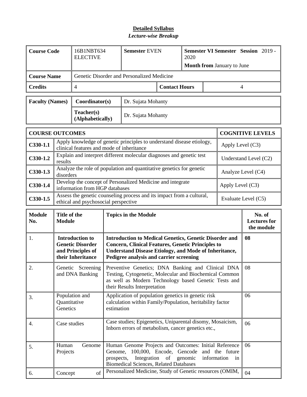| <b>Course Code</b>     |                          | 16B1NBT634<br><b>ELECTIVE</b>                                                               | <b>Semester EVEN</b>                       |                                                                                                                                                                                                                                      | 2020                 |         | Month from January to June | <b>Semester VI Semester Session 2019 -</b> |                                             |
|------------------------|--------------------------|---------------------------------------------------------------------------------------------|--------------------------------------------|--------------------------------------------------------------------------------------------------------------------------------------------------------------------------------------------------------------------------------------|----------------------|---------|----------------------------|--------------------------------------------|---------------------------------------------|
| <b>Course Name</b>     |                          |                                                                                             | Genetic Disorder and Personalized Medicine |                                                                                                                                                                                                                                      |                      |         |                            |                                            |                                             |
| <b>Credits</b><br>4    |                          |                                                                                             |                                            |                                                                                                                                                                                                                                      | <b>Contact Hours</b> |         |                            | $\overline{4}$                             |                                             |
| <b>Faculty (Names)</b> |                          | Coordinator(s)                                                                              |                                            | Dr. Sujata Mohanty                                                                                                                                                                                                                   |                      |         |                            |                                            |                                             |
|                        |                          | Teacher(s)<br>(Alphabetically)                                                              |                                            | Dr. Sujata Mohanty                                                                                                                                                                                                                   |                      |         |                            |                                            |                                             |
| <b>COURSE OUTCOMES</b> |                          |                                                                                             |                                            |                                                                                                                                                                                                                                      |                      |         |                            |                                            | <b>COGNITIVE LEVELS</b>                     |
| $C330-1.1$             |                          | clinical features and mode of inheritance                                                   |                                            | Apply knowledge of genetic principles to understand disease etiology,                                                                                                                                                                |                      |         |                            | Apply Level $(C3)$                         |                                             |
| $C330-1.2$             | results                  |                                                                                             |                                            | Explain and interpret different molecular diagnoses and genetic test                                                                                                                                                                 |                      |         |                            |                                            | Understand Level (C2)                       |
| $C330-1.3$             | disorders                |                                                                                             |                                            | Analyze the role of population and quantitative genetics for genetic                                                                                                                                                                 |                      |         |                            |                                            | Analyze Level (C4)                          |
| $C330-1.4$             |                          | information from HGP databases                                                              |                                            | Develop the concept of Personalized Medicine and integrate                                                                                                                                                                           |                      |         |                            | Apply Level (C3)                           |                                             |
| $C330-1.5$             |                          | ethical and psychosocial perspective                                                        |                                            | Assess the genetic counseling process and its impact from a cultural,                                                                                                                                                                |                      |         |                            |                                            | Evaluate Level (C5)                         |
| <b>Module</b>          | Title of the             |                                                                                             | <b>Topics in the Module</b>                |                                                                                                                                                                                                                                      |                      |         |                            |                                            |                                             |
| No.                    | <b>Module</b>            |                                                                                             |                                            |                                                                                                                                                                                                                                      |                      |         |                            |                                            | No. of<br><b>Lectures for</b><br>the module |
| 1.                     |                          | <b>Introduction to</b><br><b>Genetic Disorder</b><br>and Principles of<br>their Inheritance |                                            | <b>Introduction to Medical Genetics, Genetic Disorder and</b><br><b>Concern, Clinical Features, Genetic Principles to</b><br><b>Understand Disease Etiology, and Mode of Inheritance,</b><br>Pedigree analysis and carrier screening |                      |         |                            |                                            | 08                                          |
| 2.                     |                          | and DNA Banking                                                                             |                                            | Genetic Screening Preventive Genetics; DNA Banking and Clinical DNA<br>Testing, Cytogenetic, Molecular and Biochemical Common<br>as well as Modern Technology based Genetic Tests and<br>their Results Interpretation                |                      |         |                            |                                            | 08                                          |
| 3.                     | Quantitative<br>Genetics | Population and                                                                              | estimation                                 | Application of population genetics in genetic risk<br>calculation within Family/Population, heritability factor                                                                                                                      |                      |         |                            |                                            | 06                                          |
| 4.                     | Case studies             |                                                                                             |                                            | Case studies; Epigenetics, Uniparental disomy, Mosaicism,<br>Inborn errors of metabolism, cancer genetics etc.,                                                                                                                      |                      |         |                            |                                            | 06                                          |
| 5.                     | Human<br>Projects        | Genome                                                                                      | Genome,<br>prospects,                      | Human Genome Projects and Outcomes: Initial Reference<br>100,000, Encode, Gencode<br>Integration<br><b>Biomedical Sciences, Related Databases</b><br>Personalized Medicine, Study of Genetic resources (OMIM,                        | of                   | genomic | information                | and the future<br>in                       | 06                                          |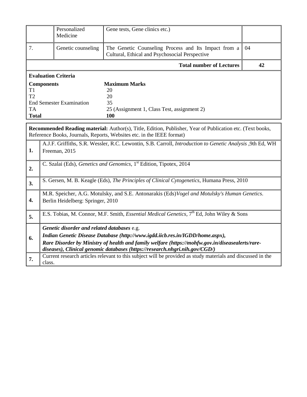|                            | Personalized<br>Medicine        | Gene tests, Gene clinics etc.)                                                                                                                                                            |    |
|----------------------------|---------------------------------|-------------------------------------------------------------------------------------------------------------------------------------------------------------------------------------------|----|
| 7.                         | Genetic counseling              | The Genetic Counseling Process and Its Impact from a<br>Cultural, Ethical and Psychosocial Perspective                                                                                    | 04 |
|                            |                                 | <b>Total number of Lectures</b>                                                                                                                                                           | 42 |
| <b>Evaluation Criteria</b> |                                 |                                                                                                                                                                                           |    |
| <b>Components</b>          |                                 | <b>Maximum Marks</b>                                                                                                                                                                      |    |
| T1                         |                                 | 20                                                                                                                                                                                        |    |
| T <sub>2</sub>             |                                 | 20                                                                                                                                                                                        |    |
|                            | <b>End Semester Examination</b> | 35                                                                                                                                                                                        |    |
| <b>TA</b>                  |                                 | 25 (Assignment 1, Class Test, assignment 2)                                                                                                                                               |    |
| <b>Total</b>               |                                 | 100                                                                                                                                                                                       |    |
|                            |                                 |                                                                                                                                                                                           |    |
|                            |                                 | <b>Recommended Reading material:</b> Author(s), Title, Edition, Publisher, Year of Publication etc. (Text books,<br>Reference Books, Journals, Reports, Websites etc. in the IFFF format) |    |

|                  | Reference BOOKS, JOULHAIS, Reports, Websites etc. In the IEEE format)                                                                                                                                                                                                                                           |
|------------------|-----------------------------------------------------------------------------------------------------------------------------------------------------------------------------------------------------------------------------------------------------------------------------------------------------------------|
| 1.               | A.J.F. Griffiths, S.R. Wessler, R.C. Lewontin, S.B. Carroll, <i>Introduction to Genetic Analysis</i> , 9th Ed, WH<br>Freeman, 2015                                                                                                                                                                              |
| $\overline{2}$ . | C. Szalai (Eds), Genetics and Genomics, 1 <sup>st</sup> Edition, Tipotex, 2014                                                                                                                                                                                                                                  |
| 3.               | S. Gersen, M. B. Keagle (Eds), The Principles of Clinical Cytogenetics, Humana Press, 2010                                                                                                                                                                                                                      |
| 4.               | M.R. Speicher, A.G. Motulsky, and S.E. Antonarakis (Eds) Vogel and Motulsky's Human Genetics.<br>Berlin Heidelberg: Springer, 2010                                                                                                                                                                              |
| 5.               | E.S. Tobias, M. Connor, M.F. Smith, <i>Essential Medical Genetics</i> , 7 <sup>th</sup> Ed, John Wiley & Sons                                                                                                                                                                                                   |
| 6.               | Genetic disorder and related databases e.g.<br>Indian Genetic Disease Database (http://www.igdd.iicb.res.in/IGDD/home.aspx),<br>Rare Disorder by Ministry of health and family welfare (https://mohfw.gov.in/diseasealerts/rare-<br>diseases), Clinical genomic databases (https://research.nhgri.nih.gov/CGD/) |
| 7.               | Current research articles relevant to this subject will be provided as study materials and discussed in the<br>class.                                                                                                                                                                                           |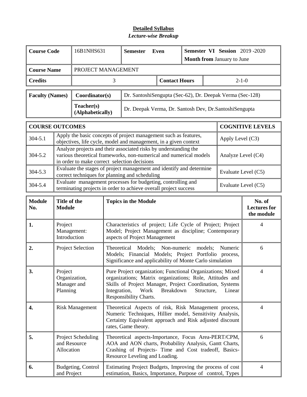| <b>Course Code</b>     |                                                              | 16B1NHS631                                                                                                                                                                             |                                                                                                                                                      | <b>Semester</b><br>Even                                                                                                                                                                                                                                         |  | <b>Semester VI Session 2019-2020</b><br><b>Month from January to June</b> |  |                     |                     |                         |
|------------------------|--------------------------------------------------------------|----------------------------------------------------------------------------------------------------------------------------------------------------------------------------------------|------------------------------------------------------------------------------------------------------------------------------------------------------|-----------------------------------------------------------------------------------------------------------------------------------------------------------------------------------------------------------------------------------------------------------------|--|---------------------------------------------------------------------------|--|---------------------|---------------------|-------------------------|
| <b>Course Name</b>     |                                                              | PROJECT MANAGEMENT                                                                                                                                                                     |                                                                                                                                                      |                                                                                                                                                                                                                                                                 |  |                                                                           |  |                     |                     |                         |
| <b>Credits</b>         |                                                              |                                                                                                                                                                                        | 3                                                                                                                                                    |                                                                                                                                                                                                                                                                 |  | <b>Contact Hours</b>                                                      |  |                     | $2 - 1 - 0$         |                         |
| <b>Faculty (Names)</b> |                                                              | Coordinator(s)                                                                                                                                                                         |                                                                                                                                                      | Dr. SantoshiSengupta (Sec-62), Dr. Deepak Verma (Sec-128)                                                                                                                                                                                                       |  |                                                                           |  |                     |                     |                         |
|                        |                                                              | Teacher(s)<br>(Alphabetically)                                                                                                                                                         |                                                                                                                                                      | Dr. Deepak Verma, Dr. Santosh Dev, Dr. Santoshi Sengupta                                                                                                                                                                                                        |  |                                                                           |  |                     |                     |                         |
| <b>COURSE OUTCOMES</b> |                                                              |                                                                                                                                                                                        |                                                                                                                                                      |                                                                                                                                                                                                                                                                 |  |                                                                           |  |                     |                     | <b>COGNITIVE LEVELS</b> |
| $304 - 5.1$            |                                                              | Apply the basic concepts of project management such as features,<br>objectives, life cycle, model and management, in a given context                                                   |                                                                                                                                                      |                                                                                                                                                                                                                                                                 |  |                                                                           |  |                     | Apply Level $(C3)$  |                         |
| 304-5.2                |                                                              | Analyze projects and their associated risks by understanding the<br>various theoretical frameworks, non-numerical and numerical models<br>in order to make correct selection decisions |                                                                                                                                                      |                                                                                                                                                                                                                                                                 |  |                                                                           |  |                     | Analyze Level (C4)  |                         |
| 304-5.3                |                                                              | Evaluate the stages of project management and identify and determine<br>correct techniques for planning and scheduling                                                                 |                                                                                                                                                      |                                                                                                                                                                                                                                                                 |  |                                                                           |  |                     | Evaluate Level (C5) |                         |
| 304-5.4                |                                                              |                                                                                                                                                                                        | Evaluate management processes for budgeting, controlling and<br>terminating projects in order to achieve overall project success                     |                                                                                                                                                                                                                                                                 |  |                                                                           |  |                     | Evaluate Level (C5) |                         |
| <b>Module</b><br>No.   | Title of the<br><b>Topics in the Module</b><br><b>Module</b> |                                                                                                                                                                                        |                                                                                                                                                      |                                                                                                                                                                                                                                                                 |  | No. of<br><b>Lectures</b> for<br>the module                               |  |                     |                     |                         |
| 1.                     | Project<br>Introduction                                      | Management:                                                                                                                                                                            | Characteristics of project; Life Cycle of Project; Project<br>Model; Project Management as discipline; Contemporary<br>aspects of Project Management |                                                                                                                                                                                                                                                                 |  |                                                                           |  |                     | $\overline{4}$      |                         |
| 2.                     |                                                              | <b>Project Selection</b>                                                                                                                                                               | Theoretical Models; Non-numeric models;<br>Models; Financial Models; Project Portfolio<br>Significance and applicability of Monte Carlo simulation   |                                                                                                                                                                                                                                                                 |  |                                                                           |  | Numeric<br>process, | 6                   |                         |
| 3.                     | Project<br>Planning                                          | Organization,<br>Manager and                                                                                                                                                           |                                                                                                                                                      | Pure Project organization; Functional Organizations; Mixed<br>organizations; Matrix organizations; Role, Attitudes and<br>Skills of Project Manager, Project Coordination, Systems<br>Integration,<br>Work<br>Breakdown<br>Structure,<br>Responsibility Charts. |  |                                                                           |  |                     | Linear              | 4                       |
| 4.                     | <b>Risk Management</b>                                       |                                                                                                                                                                                        |                                                                                                                                                      | Theoretical Aspects of risk, Risk Management process,<br>Numeric Techniques, Hillier model, Sensitivity Analysis,<br>Certainty Equivalent approach and Risk adjusted discount<br>rates, Game theory.                                                            |  |                                                                           |  |                     |                     | $\overline{4}$          |
| 5.                     | Allocation                                                   | Project Scheduling<br>and Resource                                                                                                                                                     |                                                                                                                                                      | Theoretical aspects-Importance, Focus Area-PERT/CPM,<br>AOA and AON charts, Probability Analysis, Gantt Charts,<br>Crashing of Projects- Time and Cost tradeoff, Basics-<br>Resource Leveling and Loading.                                                      |  |                                                                           |  |                     |                     | 6                       |
| 6.                     | and Project                                                  | Budgeting, Control                                                                                                                                                                     |                                                                                                                                                      | Estimating Project Budgets, Improving the process of cost<br>estimation, Basics, Importance, Purpose of control, Types                                                                                                                                          |  |                                                                           |  |                     |                     | 4                       |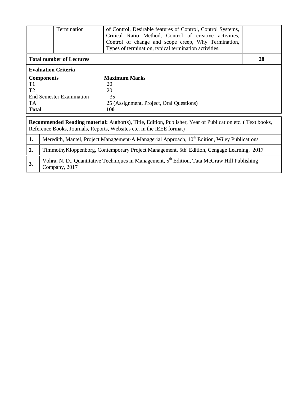|                | Termination                                                                                              | of Control, Desirable features of Control, Control Systems,                                                      |    |  |  |  |  |  |
|----------------|----------------------------------------------------------------------------------------------------------|------------------------------------------------------------------------------------------------------------------|----|--|--|--|--|--|
|                |                                                                                                          | Critical Ratio Method, Control of creative activities,                                                           |    |  |  |  |  |  |
|                |                                                                                                          | Control of change and scope creep, Why Termination,                                                              |    |  |  |  |  |  |
|                |                                                                                                          | Types of termination, typical termination activities.                                                            |    |  |  |  |  |  |
|                |                                                                                                          |                                                                                                                  |    |  |  |  |  |  |
|                | <b>Total number of Lectures</b>                                                                          |                                                                                                                  | 28 |  |  |  |  |  |
|                | <b>Evaluation Criteria</b>                                                                               |                                                                                                                  |    |  |  |  |  |  |
|                | <b>Components</b>                                                                                        | <b>Maximum Marks</b>                                                                                             |    |  |  |  |  |  |
| T <sub>1</sub> |                                                                                                          | 20                                                                                                               |    |  |  |  |  |  |
| T <sub>2</sub> | 20                                                                                                       |                                                                                                                  |    |  |  |  |  |  |
|                | <b>End Semester Examination</b>                                                                          | 35                                                                                                               |    |  |  |  |  |  |
| TA             |                                                                                                          | 25 (Assignment, Project, Oral Questions)                                                                         |    |  |  |  |  |  |
| <b>Total</b>   |                                                                                                          | <b>100</b>                                                                                                       |    |  |  |  |  |  |
|                |                                                                                                          |                                                                                                                  |    |  |  |  |  |  |
|                |                                                                                                          | <b>Recommended Reading material:</b> Author(s), Title, Edition, Publisher, Year of Publication etc. (Text books, |    |  |  |  |  |  |
|                | Reference Books, Journals, Reports, Websites etc. in the IEEE format)                                    |                                                                                                                  |    |  |  |  |  |  |
| 1.             | Meredith, Mantel, Project Management-A Managerial Approach, 10 <sup>th</sup> Edition, Wiley Publications |                                                                                                                  |    |  |  |  |  |  |
| 2.             | TimmothyKloppenborg, Contemporary Project Management, 5th <sup>t</sup> Edition, Cengage Learning, 2017   |                                                                                                                  |    |  |  |  |  |  |
| 3.             | Company, 2017                                                                                            | Vohra, N. D., Quantitative Techniques in Management, 5 <sup>th</sup> Edition, Tata McGraw Hill Publishing        |    |  |  |  |  |  |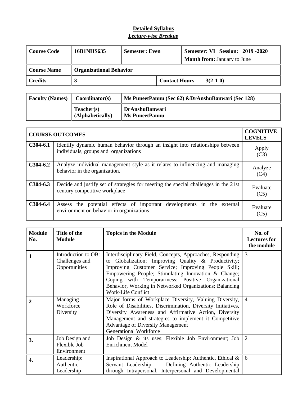| Course Code        | 16B1NHS635                     | <b>Semester: Even</b> |                      | <b>Semester: VI Session: 2019 -2020</b><br><b>Month from: January to June</b> |            |  |
|--------------------|--------------------------------|-----------------------|----------------------|-------------------------------------------------------------------------------|------------|--|
| <b>Course Name</b> | <b>Organizational Behavior</b> |                       |                      |                                                                               |            |  |
| Credits<br>دہ      |                                |                       | <b>Contact Hours</b> |                                                                               | $3(2-1-0)$ |  |

| <b>Faculty (Names)</b> | Coordinator(s)                 | Ms PuneetPannu (Sec 62) &DrAnshuBanwari (Sec 128) |
|------------------------|--------------------------------|---------------------------------------------------|
|                        | Teacher(s)<br>(Alphabetically) | <b>DrAnshuBanwari</b><br><b>Ms PuneetPannu</b>    |

|            | <b>COURSE OUTCOMES</b>                                                                                                 | <b>COGNITIVE</b><br><b>LEVELS</b> |
|------------|------------------------------------------------------------------------------------------------------------------------|-----------------------------------|
| $C304-6.1$ | Identify dynamic human behavior through an insight into relationships between<br>individuals, groups and organizations | Apply<br>(C3)                     |
| $C304-6.2$ | Analyze individual management style as it relates to influencing and managing<br>behavior in the organization.         | Analyze<br>(C4)                   |
| $C304-6.3$ | Decide and justify set of strategies for meeting the special challenges in the 21st<br>century competitive workplace   | Evaluate<br>(C5)                  |
| $C304-6.4$ | Assess the potential effects of important developments in the external<br>environment on behavior in organizations     | Evaluate<br>(C5)                  |

| <b>Module</b><br>No. | Title of the<br><b>Module</b>                          | <b>Topics in the Module</b>                                                                                                                                                                                                                                                                                                                                           | No. of<br><b>Lectures for</b><br>the module |
|----------------------|--------------------------------------------------------|-----------------------------------------------------------------------------------------------------------------------------------------------------------------------------------------------------------------------------------------------------------------------------------------------------------------------------------------------------------------------|---------------------------------------------|
| $\mathbf{1}$         | Introduction to OB:<br>Challenges and<br>Opportunities | Interdisciplinary Field, Concepts, Approaches, Responding<br>to Globalization; Improving Quality & Productivity;<br>Improving Customer Service; Improving People Skill;<br>Empowering People; Stimulating Innovation & Change;<br>Coping with Temporariness; Positive Organizational<br>Behavior, Working in Networked Organizations; Balancing<br>Work-Life Conflict | $\overline{3}$                              |
| 2                    | Managing<br>Workforce<br>Diversity                     | Major forms of Workplace Diversity, Valuing Diversity,<br>Role of Disabilities, Discrimination, Diversity Initiatives,<br>Diversity Awareness and Affirmative Action, Diversity<br>Management and strategies to implement it Competitive<br><b>Advantage of Diversity Management</b><br><b>Generational Workforce</b>                                                 | $\overline{4}$                              |
| 3.                   | Job Design and<br>Flexible Job<br>Environment          | Job Design & its uses; Flexible Job Environment; Job<br><b>Enrichment Model</b>                                                                                                                                                                                                                                                                                       | 2                                           |
| 4.                   | Leadership:<br>Authentic<br>Leadership                 | Inspirational Approach to Leadership: Authentic, Ethical &<br>Servant Leadership Defining Authentic Leadership<br>through Intrapersonal, Interpersonal and Developmental                                                                                                                                                                                              | 6                                           |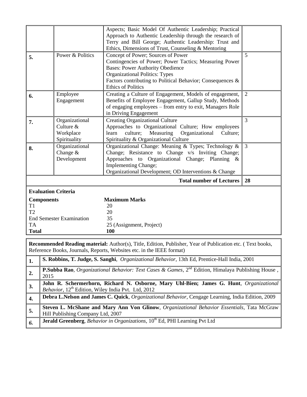|                                                            |                                                          | Aspects; Basic Model Of Authentic Leadership; Practical<br>Approach to Authentic Leadership through the research of<br>Terry and Bill George; Authentic Leadership: Trust and                                                                                                                                                      |                |
|------------------------------------------------------------|----------------------------------------------------------|------------------------------------------------------------------------------------------------------------------------------------------------------------------------------------------------------------------------------------------------------------------------------------------------------------------------------------|----------------|
| 5.                                                         | Power & Politics                                         | Ethics, Dimensions of Trust, Counseling & Mentoring<br>Concept of Power; Sources of Power<br>Contingencies of Power; Power Tactics; Measuring Power<br><b>Bases: Power Authority Obedience</b><br><b>Organizational Politics: Types</b><br>Factors contributing to Political Behavior; Consequences &<br><b>Ethics of Politics</b> | 5              |
| 6.                                                         | Employee<br>Engagement                                   | Creating a Culture of Engagement, Models of engagement,<br>Benefits of Employee Engagement, Gallup Study, Methods<br>of engaging employees – from entry to exit, Managers Role<br>in Driving Engagement                                                                                                                            | $\overline{2}$ |
| 7.                                                         | Organizational<br>Culture &<br>Workplace<br>Spirituality | <b>Creating Organizational Culture</b><br>Approaches to Organizational Culture; How employees<br>culture;<br>Measuring<br>Organizational<br>Culture;<br>learn<br>Spirituality & Organizational Culture                                                                                                                             | 3              |
| 8.                                                         | Organizational<br>Change $&$<br>Development              | Organizational Change: Meaning & Types; Technology &<br>Change; Resistance to Change v/s Inviting Change;<br>Approaches to Organizational Change; Planning &<br>Implementing Change;<br>Organizational Development; OD Interventions & Change                                                                                      | 3              |
|                                                            |                                                          | <b>Total number of Lectures</b>                                                                                                                                                                                                                                                                                                    | 28             |
| <b>Evaluation Criteria</b>                                 |                                                          |                                                                                                                                                                                                                                                                                                                                    |                |
| <b>Components</b><br>T1<br>T2<br><b>TA</b><br><b>Total</b> | <b>End Semester Examination</b>                          | <b>Maximum Marks</b><br>20<br>20<br>35<br>25 (Assignment, Project)<br>100                                                                                                                                                                                                                                                          |                |

**Recommended Reading material:** Author(s), Title, Edition, Publisher, Year of Publication etc. ( Text books, Reference Books, Journals, Reports, Websites etc. in the IEEE format)

|                  | S. Robbins, T. Judge, S. Sanghi, <i>Organizational Behavior</i> , 13th Ed, Prentice-Hall India, 2001                                                     |
|------------------|----------------------------------------------------------------------------------------------------------------------------------------------------------|
|                  | <b>P.Subba Rao</b> , <i>Organizational Behavior: Text Cases &amp; Games</i> , $2^{nd}$ Edition, Himalaya Publishing House,<br>2015                       |
| 3.               | John R. Schermerhorn, Richard N. Osborne, Mary Uhl-Bien; James G. Hunt, Organizational<br>Behavior, 12 <sup>th</sup> Edition, Wiley India Pvt. Ltd, 2012 |
| $\overline{4}$ . | Debra L.Nelson and James C. Quick, Organizational Behavior, Cengage Learning, India Edition, 2009                                                        |
| 5.               | <b>Steven L. McShane and Mary Ann Von Glinow, Organizational Behavior Essentials, Tata McGraw</b><br>Hill Publishing Company Ltd, 2007                   |
| 6.               | <b>Jerald Greenberg</b> , Behavior in Organizations, 10 <sup>th</sup> Ed, PHI Learning Pvt Ltd                                                           |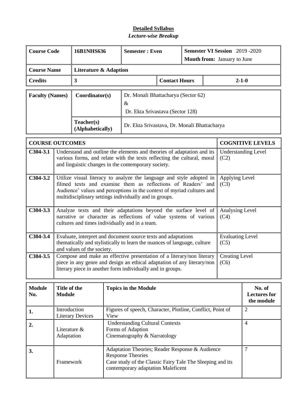| <b>Course Code</b>     |                                                                                                                                                                                                                                                                                                    | 16B1NHS636                       |                                                                                      | <b>Semester: Even</b>                                                                                                                                                          |                      | Semester VI Session 2019 - 2020<br><b>Month from:</b> January to June |  |                                 |                         |  |
|------------------------|----------------------------------------------------------------------------------------------------------------------------------------------------------------------------------------------------------------------------------------------------------------------------------------------------|----------------------------------|--------------------------------------------------------------------------------------|--------------------------------------------------------------------------------------------------------------------------------------------------------------------------------|----------------------|-----------------------------------------------------------------------|--|---------------------------------|-------------------------|--|
| <b>Course Name</b>     |                                                                                                                                                                                                                                                                                                    | <b>Literature &amp; Adaption</b> |                                                                                      |                                                                                                                                                                                |                      |                                                                       |  |                                 |                         |  |
| <b>Credits</b>         |                                                                                                                                                                                                                                                                                                    | $\mathbf{3}$                     |                                                                                      |                                                                                                                                                                                | <b>Contact Hours</b> |                                                                       |  |                                 | $2 - 1 - 0$             |  |
| <b>Faculty (Names)</b> |                                                                                                                                                                                                                                                                                                    | Coordinator(s)<br>Teacher(s)     |                                                                                      | Dr. Monali Bhattacharya (Sector 62)<br>$\&$<br>Dr. Ekta Srivastava (Sector 128)                                                                                                |                      |                                                                       |  |                                 |                         |  |
|                        |                                                                                                                                                                                                                                                                                                    | (Alphabetically)                 |                                                                                      | Dr. Ekta Srivastava, Dr. Monali Bhattacharya                                                                                                                                   |                      |                                                                       |  |                                 |                         |  |
| <b>COURSE OUTCOMES</b> |                                                                                                                                                                                                                                                                                                    |                                  |                                                                                      |                                                                                                                                                                                |                      |                                                                       |  |                                 | <b>COGNITIVE LEVELS</b> |  |
| $C304-3.1$             | Understand and outline the elements and theories of adaptation and its<br><b>Understanding Level</b><br>various forms, and relate with the texts reflecting the cultural, moral<br>(C2)<br>and linguistic changes in the contemporary society.                                                     |                                  |                                                                                      |                                                                                                                                                                                |                      |                                                                       |  |                                 |                         |  |
| $C304-3.2$             | Utilize visual literacy to analyze the language and style adopted in<br>Applying Level<br>filmed texts and examine them as reflections of Readers' and<br>(C3)<br>Audience' values and perceptions in the context of myriad cultures and<br>multidisciplinary settings individually and in groups. |                                  |                                                                                      |                                                                                                                                                                                |                      |                                                                       |  |                                 |                         |  |
| $C304-3.3$             | Analyze texts and their adaptations beyond the surface level of<br>Analysing Level<br>narrative or character as reflections of value systems of various<br>(C4)<br>cultures and times individually and in a team.                                                                                  |                                  |                                                                                      |                                                                                                                                                                                |                      |                                                                       |  |                                 |                         |  |
| $C304-3.4$             |                                                                                                                                                                                                                                                                                                    | and values of the society.       |                                                                                      | Evaluate, interpret and document source texts and adaptations<br>thematically and stylistically to learn the nuances of language, culture                                      |                      |                                                                       |  | <b>Evaluating Level</b><br>(C5) |                         |  |
| $C304-3.5$             | Compose and make an effective presentation of a literary/non literary<br><b>Creating Level</b><br>piece in any genre and design an ethical adaptation of any literary/non<br>(C6)<br>literary piece in another form individually and in groups.                                                    |                                  |                                                                                      |                                                                                                                                                                                |                      |                                                                       |  |                                 |                         |  |
| <b>Module</b><br>No.   | Title of the<br>No. of<br><b>Topics in the Module</b><br><b>Module</b><br><b>Lectures for</b><br>the module                                                                                                                                                                                        |                                  |                                                                                      |                                                                                                                                                                                |                      |                                                                       |  |                                 |                         |  |
| 1.                     | Introduction                                                                                                                                                                                                                                                                                       | <b>Literary Devices</b>          | Figures of speech, Character, Plotline, Conflict, Point of<br>$\overline{2}$<br>View |                                                                                                                                                                                |                      |                                                                       |  |                                 |                         |  |
| 2.                     | Literature &<br>Adaptation                                                                                                                                                                                                                                                                         |                                  |                                                                                      | <b>Understanding Cultural Contexts</b><br>$\overline{4}$<br>Forms of Adaption<br>Cinematography & Narratology                                                                  |                      |                                                                       |  |                                 |                         |  |
| 3.                     | Framework                                                                                                                                                                                                                                                                                          |                                  |                                                                                      | Adaptation Theories; Reader Response & Audience<br><b>Response Theories</b><br>Case study of the Classic Fairy Tale The Sleeping and its<br>contemporary adaptation Maleficent |                      |                                                                       |  |                                 | $\overline{7}$          |  |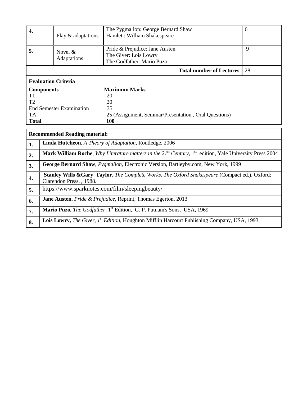|                  |                                                                                                                          | The Pygmalion: George Bernard Shaw                                                                                              | 6            |  |  |  |
|------------------|--------------------------------------------------------------------------------------------------------------------------|---------------------------------------------------------------------------------------------------------------------------------|--------------|--|--|--|
| $\overline{4}$ . | Play & adaptations                                                                                                       | Hamlet: William Shakespeare                                                                                                     |              |  |  |  |
|                  |                                                                                                                          |                                                                                                                                 |              |  |  |  |
| 5.               | Novel &                                                                                                                  | Pride & Prejudice: Jane Austen                                                                                                  | $\mathbf{Q}$ |  |  |  |
|                  | Adaptations                                                                                                              | The Giver: Lois Lowry                                                                                                           |              |  |  |  |
|                  |                                                                                                                          | The Godfather: Mario Puzo                                                                                                       |              |  |  |  |
|                  |                                                                                                                          | <b>Total number of Lectures</b>                                                                                                 | 28           |  |  |  |
|                  | <b>Evaluation Criteria</b>                                                                                               |                                                                                                                                 |              |  |  |  |
|                  | <b>Components</b>                                                                                                        | <b>Maximum Marks</b>                                                                                                            |              |  |  |  |
| T1               |                                                                                                                          | 20                                                                                                                              |              |  |  |  |
| T <sub>2</sub>   |                                                                                                                          | 20                                                                                                                              |              |  |  |  |
|                  | <b>End Semester Examination</b><br>35                                                                                    |                                                                                                                                 |              |  |  |  |
| <b>TA</b>        |                                                                                                                          | 25 (Assignment, Seminar/Presentation, Oral Questions)                                                                           |              |  |  |  |
| <b>Total</b>     |                                                                                                                          | 100                                                                                                                             |              |  |  |  |
|                  |                                                                                                                          |                                                                                                                                 |              |  |  |  |
|                  | <b>Recommended Reading material:</b>                                                                                     |                                                                                                                                 |              |  |  |  |
| 1.               |                                                                                                                          | Linda Hutcheon, A Theory of Adaptation, Routledge, 2006                                                                         |              |  |  |  |
| 2.               |                                                                                                                          | Mark William Roche, Why Literature matters in the 21 <sup>st</sup> Century, 1 <sup>st</sup> edition, Yale University Press 2004 |              |  |  |  |
| 3.               |                                                                                                                          | George Bernard Shaw, Pygmalion, Electronic Version, Bartleyby.com, New York, 1999                                               |              |  |  |  |
| 4.               | Stanley Wills &Gary Taylor, The Complete Works. The Oxford Shakespeare (Compact ed.). Oxford:<br>Clarendon Press., 1988. |                                                                                                                                 |              |  |  |  |
| 5.               | https://www.sparknotes.com/film/sleepingbeauty/                                                                          |                                                                                                                                 |              |  |  |  |
| 6.               | Jane Austen, Pride & Prejudice, Reprint, Thomas Egerton, 2013                                                            |                                                                                                                                 |              |  |  |  |
| 7.               |                                                                                                                          | Mario Puzo, The Godfather, 1st Edition, G. P. Putnam's Sons, USA, 1969                                                          |              |  |  |  |
| 8.               |                                                                                                                          | Lois Lowry, The Giver, 1st Edition, Houghton Mifflin Harcourt Publishing Company, USA, 1993                                     |              |  |  |  |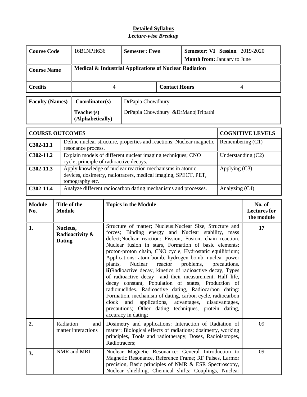| <b>Course Code</b>     | 16B1NPH636                     | <b>Semester: Even</b>                                  |  | Semester: VI Session 2019-2020<br><b>Month from:</b> January to June |  |  |
|------------------------|--------------------------------|--------------------------------------------------------|--|----------------------------------------------------------------------|--|--|
| <b>Course Name</b>     |                                | Medical & Industrial Applications of Nuclear Radiation |  |                                                                      |  |  |
| <b>Credits</b>         |                                | <b>Contact Hours</b>                                   |  |                                                                      |  |  |
| <b>Faculty (Names)</b> | Coordinator(s)                 | DrPapia Chowdhury                                      |  |                                                                      |  |  |
|                        | Teacher(s)<br>(Alphabetically) | DrPapia Chowdhury & DrManoj Tripathi                   |  |                                                                      |  |  |

| <b>COURSE OUTCOMES</b> | <b>COGNITIVE LEVELS</b>                                                                                                                       |                      |
|------------------------|-----------------------------------------------------------------------------------------------------------------------------------------------|----------------------|
| C302-11.1              | Define nuclear structure, properties and reactions; Nuclear magnetic<br>resonance process.                                                    | Remembering $(C1)$   |
| $C302-11.2$            | Explain models of different nuclear imaging techniques; CNO<br>cycle; principle of radioactive decays.                                        | Understanding $(C2)$ |
| $C302-11.3$            | Apply knowledge of nuclear reaction mechanisms in atomic<br>devices, dosimetry, radiotracers, medical imaging, SPECT, PET,<br>tomography etc. | Applying $(C3)$      |
| C302-11.4              | Analyze different radiocarbon dating mechanisms and processes.                                                                                | Analyzing (C4)       |

| <b>Module</b><br>No. | Title of the<br>Module                       | <b>Topics in the Module</b>                                                                                                                                                                                                                                                                                                                                                                                                                                                                                                                                                                                                                                                                                                                                                                                                                                             | No. of<br><b>Lectures for</b><br>the module |
|----------------------|----------------------------------------------|-------------------------------------------------------------------------------------------------------------------------------------------------------------------------------------------------------------------------------------------------------------------------------------------------------------------------------------------------------------------------------------------------------------------------------------------------------------------------------------------------------------------------------------------------------------------------------------------------------------------------------------------------------------------------------------------------------------------------------------------------------------------------------------------------------------------------------------------------------------------------|---------------------------------------------|
| 1.                   | Nucleus,<br>Radioactivity &<br><b>Dating</b> | Structure of matter; Nucleus:Nuclear Size, Structure and<br>forces; Binding energy and Nuclear stability, mass<br>defect; Nuclear reaction: Fission, Fusion, chain reaction.<br>Nuclear fusion in stars, Formation of basic elements:<br>proton-proton chain, CNO cycle, Hydrostatic equilibrium;<br>Applications: atom bomb, hydrogen bomb, nuclear power<br>Nuclear<br>reactor<br>problems,<br>plants,<br>precautions.<br>ii)Radioactive decay, kinetics of radioactive decay, Types<br>of radioactive decay and their measurement, Half life,<br>decay constant, Population of states, Production of<br>radionuclides. Radioactive dating, Radiocarbon dating:<br>Formation, mechanism of dating, carbon cycle, radiocarbon<br>and applications, advantages, disadvantages,<br>clock<br>precautions; Other dating techniques, protein dating,<br>accuracy in dating; | 17                                          |
| 2.                   | Radiation<br>and<br>matter interactions      | Dosimetry and applications: Interaction of Radiation of<br>matter: Biological effects of radiations; dosimetry, working<br>principles, Tools and radiotherapy, Doses, Radioisotopes,<br>Radiotracers:                                                                                                                                                                                                                                                                                                                                                                                                                                                                                                                                                                                                                                                                   | 09                                          |
| 3.                   | NMR and MRI                                  | Nuclear Magnetic Resonance: General Introduction to<br>Magnetic Resonance, Reference Frame; RF Pulses, Larmor<br>precision, Basic principles of NMR & ESR Spectroscopy,<br>Nuclear shielding, Chemical shifts; Couplings, Nuclear                                                                                                                                                                                                                                                                                                                                                                                                                                                                                                                                                                                                                                       | 09                                          |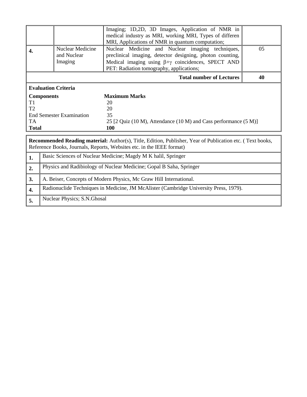|              |                                                                     | Imaging; 1D,2D, 3D Images, Application of NMR in                                                            |    |  |  |  |
|--------------|---------------------------------------------------------------------|-------------------------------------------------------------------------------------------------------------|----|--|--|--|
|              |                                                                     | medical industry as MRI, working MRI, Types of differen<br>MRI, Applications of NMR in quantum computation; |    |  |  |  |
|              | Nuclear Medicine                                                    | Nuclear Medicine and Nuclear imaging techniques,                                                            | 05 |  |  |  |
| 4.           | and Nuclear                                                         | preclinical imaging, detector designing, photon counting,                                                   |    |  |  |  |
|              | Imaging                                                             | Medical imaging using $\beta + \gamma$ coincidences, SPECT AND                                              |    |  |  |  |
|              |                                                                     | PET: Radiation tomography, applications;                                                                    |    |  |  |  |
|              |                                                                     | <b>Total number of Lectures</b>                                                                             | 40 |  |  |  |
|              | <b>Evaluation Criteria</b>                                          |                                                                                                             |    |  |  |  |
|              | <b>Components</b>                                                   | <b>Maximum Marks</b>                                                                                        |    |  |  |  |
| T1           |                                                                     | 20                                                                                                          |    |  |  |  |
| T2           |                                                                     | 20                                                                                                          |    |  |  |  |
|              | <b>End Semester Examination</b>                                     | 35                                                                                                          |    |  |  |  |
| <b>TA</b>    |                                                                     | 25 [2 Quiz (10 M), Attendance (10 M) and Cass performance (5 M)]                                            |    |  |  |  |
| <b>Total</b> |                                                                     | <b>100</b>                                                                                                  |    |  |  |  |
|              |                                                                     |                                                                                                             |    |  |  |  |
|              |                                                                     | Recommended Reading material: Author(s), Title, Edition, Publisher, Year of Publication etc. (Text books,   |    |  |  |  |
|              |                                                                     | Reference Books, Journals, Reports, Websites etc. in the IEEE format)                                       |    |  |  |  |
| 1.           | Basic Sciences of Nuclear Medicine; Magdy M K halil, Springer       |                                                                                                             |    |  |  |  |
| 2.           | Physics and Radibiology of Nuclear Medicine; Gopal B Saha, Springer |                                                                                                             |    |  |  |  |
| 3.           | A. Beiser, Concepts of Modern Physics, Mc Graw Hill International.  |                                                                                                             |    |  |  |  |
| 4.           |                                                                     | Radionuclide Techniques in Medicine, JM McAlister (Cambridge University Press, 1979).                       |    |  |  |  |
| 5.           | Nuclear Physics; S.N.Ghosal                                         |                                                                                                             |    |  |  |  |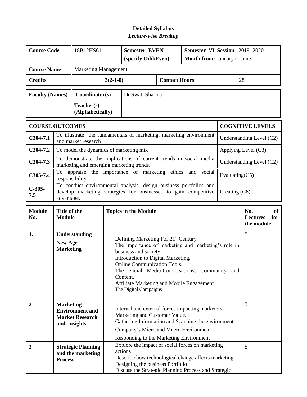| <b>Course Code</b>     |                                                                                                                                                                                                                                                                                                                                                                                                        | 18B12HS611                                                   | <b>Semester EVEN</b><br>(specify Odd/Even) |                                                                                                                                                                                                                  |                      | Semester VI Session 2019-2020<br><b>Month from: January to June</b> |  |                |                          |
|------------------------|--------------------------------------------------------------------------------------------------------------------------------------------------------------------------------------------------------------------------------------------------------------------------------------------------------------------------------------------------------------------------------------------------------|--------------------------------------------------------------|--------------------------------------------|------------------------------------------------------------------------------------------------------------------------------------------------------------------------------------------------------------------|----------------------|---------------------------------------------------------------------|--|----------------|--------------------------|
| <b>Course Name</b>     |                                                                                                                                                                                                                                                                                                                                                                                                        | <b>Marketing Management</b>                                  |                                            |                                                                                                                                                                                                                  |                      |                                                                     |  |                |                          |
| <b>Credits</b>         |                                                                                                                                                                                                                                                                                                                                                                                                        |                                                              | $3(2-1-0)$                                 |                                                                                                                                                                                                                  | <b>Contact Hours</b> |                                                                     |  | 28             |                          |
| <b>Faculty (Names)</b> |                                                                                                                                                                                                                                                                                                                                                                                                        | Coordinator(s)                                               |                                            | Dr Swati Sharma                                                                                                                                                                                                  |                      |                                                                     |  |                |                          |
|                        |                                                                                                                                                                                                                                                                                                                                                                                                        | Teacher(s)<br>(Alphabetically)                               |                                            | $\cdots$                                                                                                                                                                                                         |                      |                                                                     |  |                |                          |
| <b>COURSE OUTCOMES</b> |                                                                                                                                                                                                                                                                                                                                                                                                        |                                                              |                                            |                                                                                                                                                                                                                  |                      |                                                                     |  |                | <b>COGNITIVE LEVELS</b>  |
| $C304-7.1$             |                                                                                                                                                                                                                                                                                                                                                                                                        | and market research                                          |                                            | To illustrate the fundamentals of marketing, marketing environment                                                                                                                                               |                      |                                                                     |  |                | Understanding Level (C2) |
| $C304-7.2$             |                                                                                                                                                                                                                                                                                                                                                                                                        | To model the dynamics of marketing mix                       |                                            |                                                                                                                                                                                                                  |                      |                                                                     |  |                | Applying Level (C3)      |
| $C304-7.3$             |                                                                                                                                                                                                                                                                                                                                                                                                        | marketing and emerging marketing trends.                     |                                            | To demonstrate the implications of current trends in social media                                                                                                                                                |                      |                                                                     |  |                | Understanding Level (C2) |
| $C305-7.4$             | responsibility                                                                                                                                                                                                                                                                                                                                                                                         |                                                              |                                            | To appraise the importance of marketing ethics and social                                                                                                                                                        |                      |                                                                     |  | Evaluating(C5) |                          |
| $C-305-$<br>7.5        | To conduct environmental analysis, design business portfolios and<br>develop marketing strategies for businesses to gain competitive<br>Creating (C6)<br>advantage.                                                                                                                                                                                                                                    |                                                              |                                            |                                                                                                                                                                                                                  |                      |                                                                     |  |                |                          |
| <b>Module</b><br>No.   |                                                                                                                                                                                                                                                                                                                                                                                                        | Title of the<br><b>Topics in the Module</b><br><b>Module</b> |                                            |                                                                                                                                                                                                                  |                      | No.<br>of<br><b>Lectures</b><br>for<br>the module                   |  |                |                          |
| 1.                     | Understanding<br>Defining Marketing For 21 <sup>st</sup> Century<br><b>New Age</b><br>The importance of marketing and marketing's role in<br><b>Marketing</b><br>business and society.<br>Introduction to Digital Marketing.<br><b>Online Communication Tools.</b><br>The Social Media-Conversations, Community and<br>Content.<br>Affiliate Marketing and Mobile Engagement.<br>The Digital Campaigns |                                                              |                                            |                                                                                                                                                                                                                  | 5                    |                                                                     |  |                |                          |
| $\overline{2}$         | <b>Marketing</b><br>Internal and external forces impacting marketers.<br><b>Environment</b> and<br>Marketing and Customer Value.<br><b>Market Research</b><br>Gathering Information and Scanning the environment.<br>and insights<br>Company's Micro and Macro Environment<br>Responding to the Marketing Environment                                                                                  |                                                              |                                            | 3                                                                                                                                                                                                                |                      |                                                                     |  |                |                          |
| 3                      | <b>Process</b>                                                                                                                                                                                                                                                                                                                                                                                         | <b>Strategic Planning</b><br>and the marketing               |                                            | Explore the impact of social forces on marketing<br>actions.<br>Describe how technological change affects marketing.<br>Designing the business Portfolio<br>Discuss the Strategic Planning Process and Strategic |                      |                                                                     |  |                | 5                        |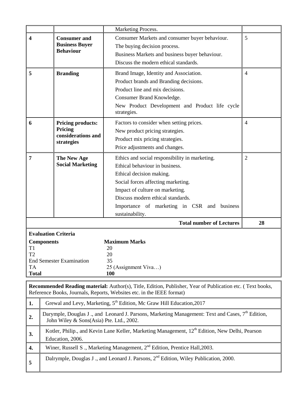|                                                                                                                                                                                    |                                                                                                                                                          | Marketing Process.                                                                               |                |  |  |  |
|------------------------------------------------------------------------------------------------------------------------------------------------------------------------------------|----------------------------------------------------------------------------------------------------------------------------------------------------------|--------------------------------------------------------------------------------------------------|----------------|--|--|--|
| 4                                                                                                                                                                                  | <b>Consumer and</b>                                                                                                                                      | Consumer Markets and consumer buyer behaviour.                                                   | 5              |  |  |  |
|                                                                                                                                                                                    | <b>Business Buyer</b>                                                                                                                                    | The buying decision process.                                                                     |                |  |  |  |
|                                                                                                                                                                                    | <b>Behaviour</b>                                                                                                                                         | Business Markets and business buyer behaviour.                                                   |                |  |  |  |
|                                                                                                                                                                                    |                                                                                                                                                          | Discuss the modern ethical standards.                                                            |                |  |  |  |
| 5                                                                                                                                                                                  | <b>Branding</b>                                                                                                                                          | Brand Image, Identity and Association.                                                           | $\overline{4}$ |  |  |  |
|                                                                                                                                                                                    |                                                                                                                                                          | Product brands and Branding decisions.                                                           |                |  |  |  |
|                                                                                                                                                                                    |                                                                                                                                                          | Product line and mix decisions.                                                                  |                |  |  |  |
|                                                                                                                                                                                    |                                                                                                                                                          | Consumer Brand Knowledge.                                                                        |                |  |  |  |
|                                                                                                                                                                                    |                                                                                                                                                          | New Product Development and Product life cycle                                                   |                |  |  |  |
|                                                                                                                                                                                    |                                                                                                                                                          | strategies.                                                                                      |                |  |  |  |
| 6                                                                                                                                                                                  | <b>Pricing products:</b>                                                                                                                                 | Factors to consider when setting prices.                                                         | $\overline{4}$ |  |  |  |
|                                                                                                                                                                                    | Pricing                                                                                                                                                  | New product pricing strategies.                                                                  |                |  |  |  |
|                                                                                                                                                                                    | considerations and<br>strategies                                                                                                                         | Product mix pricing strategies.                                                                  |                |  |  |  |
|                                                                                                                                                                                    |                                                                                                                                                          | Price adjustments and changes.                                                                   |                |  |  |  |
| 7                                                                                                                                                                                  | The New Age                                                                                                                                              | Ethics and social responsibility in marketing.                                                   | $\overline{2}$ |  |  |  |
|                                                                                                                                                                                    | <b>Social Marketing</b>                                                                                                                                  | Ethical behaviour in business.                                                                   |                |  |  |  |
|                                                                                                                                                                                    |                                                                                                                                                          | Ethical decision making.                                                                         |                |  |  |  |
|                                                                                                                                                                                    |                                                                                                                                                          | Social forces affecting marketing.                                                               |                |  |  |  |
|                                                                                                                                                                                    |                                                                                                                                                          | Impact of culture on marketing.                                                                  |                |  |  |  |
|                                                                                                                                                                                    |                                                                                                                                                          | Discuss modern ethical standards.                                                                |                |  |  |  |
|                                                                                                                                                                                    |                                                                                                                                                          | Importance of marketing in CSR and business                                                      |                |  |  |  |
|                                                                                                                                                                                    |                                                                                                                                                          | sustainability.                                                                                  |                |  |  |  |
|                                                                                                                                                                                    |                                                                                                                                                          | <b>Total number of Lectures</b>                                                                  | 28             |  |  |  |
|                                                                                                                                                                                    | <b>Evaluation Criteria</b>                                                                                                                               |                                                                                                  |                |  |  |  |
|                                                                                                                                                                                    | <b>Components</b>                                                                                                                                        | <b>Maximum Marks</b>                                                                             |                |  |  |  |
| T1<br>T <sub>2</sub>                                                                                                                                                               |                                                                                                                                                          | 20<br>20                                                                                         |                |  |  |  |
|                                                                                                                                                                                    | <b>End Semester Examination</b>                                                                                                                          | 35                                                                                               |                |  |  |  |
| TA                                                                                                                                                                                 |                                                                                                                                                          | 25 (Assignment Viva)                                                                             |                |  |  |  |
| <b>Total</b>                                                                                                                                                                       |                                                                                                                                                          | 100                                                                                              |                |  |  |  |
| Recommended Reading material: Author(s), Title, Edition, Publisher, Year of Publication etc. (Text books,<br>Reference Books, Journals, Reports, Websites etc. in the IEEE format) |                                                                                                                                                          |                                                                                                  |                |  |  |  |
| Grewal and Levy, Marketing, 5 <sup>th</sup> Edition, Mc Graw Hill Education, 2017<br>1.                                                                                            |                                                                                                                                                          |                                                                                                  |                |  |  |  |
| 2.                                                                                                                                                                                 | Darymple, Douglas J., and Leonard J. Parsons, Marketing Management: Text and Cases, 7 <sup>th</sup> Edition,<br>John Wiley & Sons(Asia) Pte. Ltd., 2002. |                                                                                                  |                |  |  |  |
| 3.                                                                                                                                                                                 | Kotler, Philip., and Kevin Lane Keller, Marketing Management, 12 <sup>th</sup> Edition, New Delhi, Pearson<br>Education, 2006.                           |                                                                                                  |                |  |  |  |
| 4.                                                                                                                                                                                 |                                                                                                                                                          | Winer, Russell S., Marketing Management, 2 <sup>nd</sup> Edition, Prentice Hall, 2003.           |                |  |  |  |
| 5                                                                                                                                                                                  |                                                                                                                                                          | Dalrymple, Douglas J., and Leonard J. Parsons, 2 <sup>nd</sup> Edition, Wiley Publication, 2000. |                |  |  |  |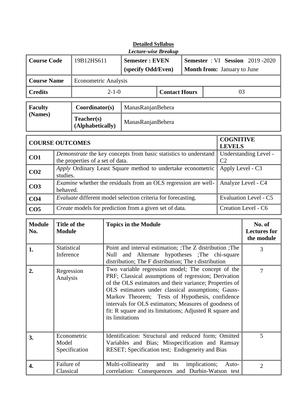| <b>Detailed Syllabus</b><br>Lecture-wise Breakup |                                                                                                                                                                                                                                                                                                                                                                                                                                                                      |                                                              |             |                                                                                                                                                            |                      |               |                                         |                                    |                                             |
|--------------------------------------------------|----------------------------------------------------------------------------------------------------------------------------------------------------------------------------------------------------------------------------------------------------------------------------------------------------------------------------------------------------------------------------------------------------------------------------------------------------------------------|--------------------------------------------------------------|-------------|------------------------------------------------------------------------------------------------------------------------------------------------------------|----------------------|---------------|-----------------------------------------|------------------------------------|---------------------------------------------|
| <b>Course Code</b>                               |                                                                                                                                                                                                                                                                                                                                                                                                                                                                      | 19B12HS611                                                   |             | <b>Semester: EVEN</b>                                                                                                                                      |                      |               | <b>Semester</b> : VI Session 2019 -2020 |                                    |                                             |
|                                                  |                                                                                                                                                                                                                                                                                                                                                                                                                                                                      |                                                              |             | (specify Odd/Even)                                                                                                                                         |                      |               |                                         | <b>Month from:</b> January to June |                                             |
| <b>Course Name</b>                               |                                                                                                                                                                                                                                                                                                                                                                                                                                                                      | <b>Econometric Analysis</b>                                  |             |                                                                                                                                                            |                      |               |                                         |                                    |                                             |
| <b>Credits</b>                                   |                                                                                                                                                                                                                                                                                                                                                                                                                                                                      |                                                              | $2 - 1 - 0$ |                                                                                                                                                            | <b>Contact Hours</b> |               |                                         | 03                                 |                                             |
| <b>Faculty</b>                                   |                                                                                                                                                                                                                                                                                                                                                                                                                                                                      | Coordinator(s)                                               |             | ManasRanjanBehera                                                                                                                                          |                      |               |                                         |                                    |                                             |
| (Names)                                          |                                                                                                                                                                                                                                                                                                                                                                                                                                                                      | Teacher(s)<br>(Alphabetically)                               |             | ManasRanjanBehera                                                                                                                                          |                      |               |                                         |                                    |                                             |
| <b>COURSE OUTCOMES</b>                           |                                                                                                                                                                                                                                                                                                                                                                                                                                                                      |                                                              |             |                                                                                                                                                            |                      |               |                                         | <b>COGNITIVE</b><br><b>LEVELS</b>  |                                             |
| CO1                                              |                                                                                                                                                                                                                                                                                                                                                                                                                                                                      | the properties of a set of data.                             |             | Demonstrate the key concepts from basic statistics to understand                                                                                           |                      |               |                                         | C <sub>2</sub>                     | Understanding Level -                       |
| CO <sub>2</sub>                                  | studies.                                                                                                                                                                                                                                                                                                                                                                                                                                                             |                                                              |             | Apply Ordinary Least Square method to undertake econometric                                                                                                |                      |               |                                         | Apply Level - C3                   |                                             |
| CO <sub>3</sub>                                  | behaved.                                                                                                                                                                                                                                                                                                                                                                                                                                                             |                                                              |             | <i>Examine</i> whether the residuals from an OLS regression are well-                                                                                      |                      |               |                                         |                                    | Analyze Level - C4                          |
| CO <sub>4</sub>                                  |                                                                                                                                                                                                                                                                                                                                                                                                                                                                      | Evaluate different model selection criteria for forecasting. |             |                                                                                                                                                            |                      |               |                                         | <b>Evaluation Level - C5</b>       |                                             |
| CO <sub>5</sub>                                  |                                                                                                                                                                                                                                                                                                                                                                                                                                                                      |                                                              |             | Create models for prediction from a given set of data.                                                                                                     |                      |               |                                         |                                    | Creation Level - C6                         |
| <b>Module</b><br>No.                             | Title of the<br><b>Module</b>                                                                                                                                                                                                                                                                                                                                                                                                                                        |                                                              |             | <b>Topics in the Module</b>                                                                                                                                |                      |               |                                         |                                    | No. of<br><b>Lectures for</b><br>the module |
| 1.                                               | Statistical<br>Inference                                                                                                                                                                                                                                                                                                                                                                                                                                             |                                                              | Null        | Point and interval estimation; ; The Z distribution ; The<br>Alternate<br>and<br>distribution; The F distribution; The t distribution                      |                      |               |                                         | hypotheses ; The chi-square        | 3                                           |
| 2.                                               | Two variable regression model; The concept of the<br>$\overline{7}$<br>Regression<br>PRF; Classical assumptions of regression; Derivation<br>Analysis<br>of the OLS estimators and their variance; Properties of<br>OLS estimators under classical assumptions; Gauss-<br>Tests of Hypothesis, confidence<br>Markov Theorem;<br>intervals for OLS estimators; Measures of goodness of<br>fit: R square and its limitations; Adjusted R square and<br>its limitations |                                                              |             |                                                                                                                                                            |                      |               |                                         |                                    |                                             |
| 3.                                               | Model                                                                                                                                                                                                                                                                                                                                                                                                                                                                | Econometric<br>Specification                                 |             | Identification: Structural and reduced form; Omitted<br>Variables and Bias; Misspecification and Ramsay<br>RESET; Specification test; Endogeneity and Bias |                      |               |                                         |                                    | 5                                           |
| 4.                                               | Failure of<br>Classical                                                                                                                                                                                                                                                                                                                                                                                                                                              |                                                              |             | Multi-collinearity<br>correlation: Consequences and Durbin-Watson test                                                                                     | and<br>its           | implications; |                                         | Auto-                              | $\overline{2}$                              |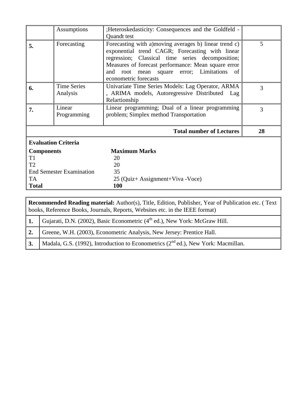|                                 | Assumptions                | ; Heteroskedasticity: Consequences and the Goldfeld -  |    |  |
|---------------------------------|----------------------------|--------------------------------------------------------|----|--|
|                                 |                            | Quandt test                                            |    |  |
| 5.                              | Forecasting                | Forecasting with a) moving averages b) linear trend c) | 5  |  |
|                                 |                            | exponential trend CAGR; Forecasting with linear        |    |  |
|                                 |                            | regression; Classical time series decomposition;       |    |  |
|                                 |                            | Measures of forecast performance: Mean square error    |    |  |
|                                 |                            | and root mean square error; Limitations of             |    |  |
|                                 |                            | econometric forecasts                                  |    |  |
| 6.                              | <b>Time Series</b>         | Univariate Time Series Models: Lag Operator, ARMA      | 3  |  |
|                                 | Analysis                   | , ARIMA models, Autoregressive Distributed Lag         |    |  |
|                                 |                            | Relartionship                                          |    |  |
| 7.                              | Linear                     | Linear programming; Dual of a linear programming       | 3  |  |
|                                 | Programming                | problem; Simplex method Transportation                 |    |  |
|                                 |                            | <b>Total number of Lectures</b>                        | 28 |  |
|                                 | <b>Evaluation Criteria</b> |                                                        |    |  |
| <b>Components</b>               |                            | <b>Maximum Marks</b>                                   |    |  |
| T <sub>1</sub>                  |                            | 20                                                     |    |  |
| T <sub>2</sub>                  |                            | 20                                                     |    |  |
| <b>End Semester Examination</b> |                            | 35                                                     |    |  |
| TA                              |                            | 25 (Quiz+ Assignment+Viva -Voce)                       |    |  |
| <b>Total</b>                    |                            | <b>100</b>                                             |    |  |

|    | <b>Recommended Reading material:</b> Author(s), Title, Edition, Publisher, Year of Publication etc. (Text<br>books, Reference Books, Journals, Reports, Websites etc. in the IEEE format) |  |  |  |  |
|----|-------------------------------------------------------------------------------------------------------------------------------------------------------------------------------------------|--|--|--|--|
|    | <b>1.</b> Gujarati, D.N. (2002), Basic Econometric (4 <sup>th</sup> ed.), New York: McGraw Hill.                                                                                          |  |  |  |  |
| 2. | Greene, W.H. (2003), Econometric Analysis, New Jersey: Prentice Hall.                                                                                                                     |  |  |  |  |
| 3. | Madala, G.S. (1992), Introduction to Econometrics ( $2nd$ ed.), New York: Macmillan.                                                                                                      |  |  |  |  |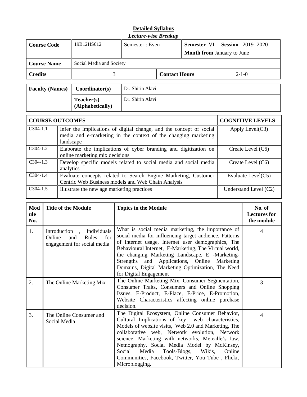| <b>Course Code</b>     | 19B12HS612                     | Semester: Even   |                      | Semester VI<br><b>Session</b> 2019 -2020<br><b>Month from January to June</b> |             |  |
|------------------------|--------------------------------|------------------|----------------------|-------------------------------------------------------------------------------|-------------|--|
| <b>Course Name</b>     | Social Media and Society       |                  |                      |                                                                               |             |  |
| <b>Credits</b>         |                                |                  | <b>Contact Hours</b> |                                                                               | $2 - 1 - 0$ |  |
| <b>Faculty (Names)</b> | Coordinator(s)                 | Dr. Shirin Alavi |                      |                                                                               |             |  |
|                        | Teacher(s)<br>(Alphabetically) | Dr. Shirin Alavi |                      |                                                                               |             |  |

|            | <b>COURSE OUTCOMES</b>                                                                                                                             | <b>COGNITIVE LEVELS</b> |
|------------|----------------------------------------------------------------------------------------------------------------------------------------------------|-------------------------|
| $C304-1.1$ | Infer the implications of digital change, and the concept of social<br>media and e-marketing in the context of the changing marketing<br>landscape | Apply Level $(C3)$      |
| $C304-1.2$ | Elaborate the implications of cyber branding and digitization on<br>online marketing mix decisions                                                 | Create Level (C6)       |
| $C304-1.3$ | Develop specific models related to social media and social media<br>analytics                                                                      | Create Level (C6)       |
| $C304-1.4$ | Evaluate concepts related to Search Engine Marketing, Customer<br>Centric Web Business models and Web Chain Analysis                               | Evaluate Level(C5)      |
| $C304-1.5$ | Illustrate the new age marketing practices                                                                                                         | Understand Level (C2)   |

| Mod<br>ule<br>No. | <b>Title of the Module</b>                                                                                              | <b>Topics in the Module</b>                                                                                                                                                                                                                                                                                                                                                                                                                       | No. of<br><b>Lectures for</b><br>the module |
|-------------------|-------------------------------------------------------------------------------------------------------------------------|---------------------------------------------------------------------------------------------------------------------------------------------------------------------------------------------------------------------------------------------------------------------------------------------------------------------------------------------------------------------------------------------------------------------------------------------------|---------------------------------------------|
| 1.                | Individuals<br>Introduction<br>$\overline{\phantom{a}}$<br>Rules<br>for<br>Online<br>and<br>engagement for social media | What is social media marketing, the importance of<br>social media for influencing target audience, Patterns<br>of internet usage, Internet user demographics, The<br>Behavioural Internet, E-Marketing, The Virtual world,<br>the changing Marketing Landscape, E -Marketing-<br>Strengths and Applications, Online Marketing<br>Domains, Digital Marketing Optimization, The Need<br>for Digital Engagement                                      | 4                                           |
| 2.                | The Online Marketing Mix                                                                                                | The Online Marketing Mix, Consumer Segmentation,<br>Consumer Traits, Consumers and Online Shopping<br>Issues, E-Product, E-Place, E-Price, E-Promotion,<br>Website Characteristics affecting online purchase<br>decision.                                                                                                                                                                                                                         | 3                                           |
| 3.                | The Online Consumer and<br>Social Media                                                                                 | The Digital Ecosystem, Online Consumer Behavior,<br>Cultural Implications of key web characteristics,<br>Models of website visits, Web 2.0 and Marketing, The<br>collaborative web, Network evolution, Network<br>science, Marketing with networks, Metcalfe's law,<br>Netnography, Social Media Model by McKinsey,<br>Wikis,<br>Social<br>Media<br>Tools-Blogs,<br>Online<br>Communities, Facebook, Twitter, You Tube, Flickr,<br>Microblogging. | 4                                           |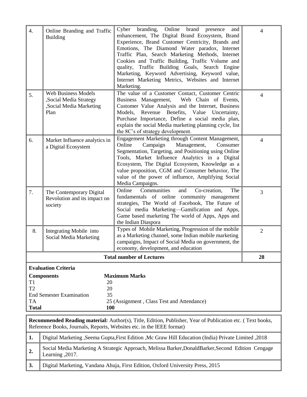| $\overline{4}$ .                                                                                                                                                                          | Online Branding and Traffic<br><b>Building</b>                                                                                                                                                           | branding, Online brand<br>Cyber<br>presence<br>and<br>enhancement, The Digital Brand Ecosystem, Brand<br>Experience, Brand Customer Centricity, Brands and<br>Emotions, The Diamond Water paradox, Internet<br>Traffic Plan, Search Marketing Methods, Internet<br>Cookies and Traffic Building, Traffic Volume and<br>quality, Traffic Building Goals, Search Engine<br>Marketing, Keyword Advertising, Keyword value,<br>Internet Marketing Metrics, Websites and Internet | 4                        |  |  |  |
|-------------------------------------------------------------------------------------------------------------------------------------------------------------------------------------------|----------------------------------------------------------------------------------------------------------------------------------------------------------------------------------------------------------|------------------------------------------------------------------------------------------------------------------------------------------------------------------------------------------------------------------------------------------------------------------------------------------------------------------------------------------------------------------------------------------------------------------------------------------------------------------------------|--------------------------|--|--|--|
| 5.                                                                                                                                                                                        | <b>Web Business Models</b><br>,Social Media Strategy<br>,Social Media Marketing<br>Plan                                                                                                                  | Marketing.<br>The value of a Customer Contact, Customer Centric<br>Web Chain of Events,<br>Business Management,<br>Customer Value Analysis and the Internet, Business<br>Revenue Benefits, Value<br>Models,<br>Uncertainty,<br>Purchase Importance, Define a social media plan,<br>explain the social Media marketing planning cycle, list<br>the 8C's of strategy development.                                                                                              | $\overline{4}$           |  |  |  |
| 6.                                                                                                                                                                                        | Market Influence analytics in<br>a Digital Ecosystem                                                                                                                                                     | Engagement Marketing through Content Management,<br>Online<br>Campaign<br>Management,<br>Consumer<br>Segmentation, Targeting, and Positioning using Online<br>Tools, Market Influence Analytics in a Digital<br>Ecosystem, The Digital Ecosystem, Knowledge as a<br>value proposition, CGM and Consumer behavior, The<br>value of the power of influence, Amplifying Social<br>Media Campaigns.                                                                              | $\overline{\mathcal{A}}$ |  |  |  |
| 7.                                                                                                                                                                                        | The Contemporary Digital<br>Revolution and its impact on<br>society                                                                                                                                      | Online<br>Communities<br>Co-creation,<br>The<br>and<br>fundamentals of online community management<br>strategies, The World of Facebook, The Future of<br>Social media Marketing-Gamification and Apps,<br>Game based marketing The world of Apps, Apps and<br>the Indian Diaspora                                                                                                                                                                                           | 3                        |  |  |  |
| 8.                                                                                                                                                                                        | Integrating Mobile into<br>Social Media Marketing                                                                                                                                                        | Types of Mobile Marketing, Progression of the mobile<br>as a Marketing channel, some Indian mobile marketing<br>campaigns, Impact of Social Media on government, the<br>economy, development, and education                                                                                                                                                                                                                                                                  | $\overline{2}$           |  |  |  |
|                                                                                                                                                                                           |                                                                                                                                                                                                          | <b>Total number of Lectures</b>                                                                                                                                                                                                                                                                                                                                                                                                                                              | 28                       |  |  |  |
| T1<br>T <sub>2</sub><br><b>TA</b>                                                                                                                                                         | <b>Evaluation Criteria</b><br><b>Maximum Marks</b><br><b>Components</b><br>20<br>20<br>35<br><b>End Semester Examination</b><br>25 (Assignment, Class Test and Attendance)<br><b>Total</b><br><b>100</b> |                                                                                                                                                                                                                                                                                                                                                                                                                                                                              |                          |  |  |  |
| <b>Recommended Reading material:</b> Author(s), Title, Edition, Publisher, Year of Publication etc. (Text books,<br>Reference Books, Journals, Reports, Websites etc. in the IEEE format) |                                                                                                                                                                                                          |                                                                                                                                                                                                                                                                                                                                                                                                                                                                              |                          |  |  |  |
| 1.                                                                                                                                                                                        |                                                                                                                                                                                                          | 2018, Digital Marketing , Seema Gupta, First Edition , Mc Graw Hill Education (India) Private Limited                                                                                                                                                                                                                                                                                                                                                                        |                          |  |  |  |
|                                                                                                                                                                                           | Social Modia Marketing A Strategic Approach Molicso Rarker DonaldBarker Second Edition Canggoo                                                                                                           |                                                                                                                                                                                                                                                                                                                                                                                                                                                                              |                          |  |  |  |

2. Social Media Marketing A Strategic Approach, Melissa Barker, DonaldBarker, Second Edition Cengage Learning ,2017.

**3.** Digital Marketing, Vandana Ahuja, First Edition, Oxford University Press, 2015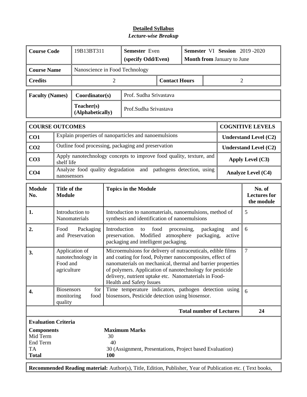| <b>Course Code</b>                                                                                                                                                                                                 |                                                                                                                                                                                                                                                                                                                                                                                                          | 19B13BT311                       | Semester Even<br>(specify Odd/Even)                                                                           |                                                                      |                                                                                    | Semester VI Session 2019-2020<br><b>Month from January to June</b> |                                 |                |                                             |  |
|--------------------------------------------------------------------------------------------------------------------------------------------------------------------------------------------------------------------|----------------------------------------------------------------------------------------------------------------------------------------------------------------------------------------------------------------------------------------------------------------------------------------------------------------------------------------------------------------------------------------------------------|----------------------------------|---------------------------------------------------------------------------------------------------------------|----------------------------------------------------------------------|------------------------------------------------------------------------------------|--------------------------------------------------------------------|---------------------------------|----------------|---------------------------------------------|--|
| <b>Course Name</b>                                                                                                                                                                                                 |                                                                                                                                                                                                                                                                                                                                                                                                          |                                  |                                                                                                               | Nanoscience in Food Technology                                       |                                                                                    |                                                                    |                                 |                |                                             |  |
| <b>Credits</b>                                                                                                                                                                                                     |                                                                                                                                                                                                                                                                                                                                                                                                          |                                  | $\overline{2}$                                                                                                |                                                                      | <b>Contact Hours</b>                                                               |                                                                    |                                 | $\overline{2}$ |                                             |  |
| <b>Faculty (Names)</b>                                                                                                                                                                                             |                                                                                                                                                                                                                                                                                                                                                                                                          | Coordinator(s)                   |                                                                                                               | Prof. Sudha Srivastava                                               |                                                                                    |                                                                    |                                 |                |                                             |  |
|                                                                                                                                                                                                                    |                                                                                                                                                                                                                                                                                                                                                                                                          | Teacher(s)<br>(Alphabetically)   |                                                                                                               | Prof.Sudha Srivastava                                                |                                                                                    |                                                                    |                                 |                |                                             |  |
| <b>COURSE OUTCOMES</b>                                                                                                                                                                                             |                                                                                                                                                                                                                                                                                                                                                                                                          |                                  |                                                                                                               |                                                                      |                                                                                    |                                                                    |                                 |                | <b>COGNITIVE LEVELS</b>                     |  |
| CO1                                                                                                                                                                                                                |                                                                                                                                                                                                                                                                                                                                                                                                          |                                  |                                                                                                               | Explain properties of nanoparticles and nanoemulsions                |                                                                                    |                                                                    |                                 |                | <b>Understand Level (C2)</b>                |  |
| CO <sub>2</sub>                                                                                                                                                                                                    |                                                                                                                                                                                                                                                                                                                                                                                                          |                                  |                                                                                                               | Outline food processing, packaging and preservation                  |                                                                                    |                                                                    |                                 |                | <b>Understand Level (C2)</b>                |  |
| CO <sub>3</sub>                                                                                                                                                                                                    | shelf life                                                                                                                                                                                                                                                                                                                                                                                               |                                  |                                                                                                               | Apply nanotechnology concepts to improve food quality, texture, and  |                                                                                    |                                                                    |                                 |                | Apply Level (C3)                            |  |
| CO <sub>4</sub>                                                                                                                                                                                                    | nanosensors                                                                                                                                                                                                                                                                                                                                                                                              |                                  |                                                                                                               | Analyze food quality degradation and pathogens detection, using      |                                                                                    |                                                                    |                                 |                | <b>Analyze Level (C4)</b>                   |  |
| <b>Module</b><br>No.                                                                                                                                                                                               | Title of the<br><b>Module</b>                                                                                                                                                                                                                                                                                                                                                                            |                                  | <b>Topics in the Module</b>                                                                                   |                                                                      |                                                                                    |                                                                    |                                 |                | No. of<br><b>Lectures for</b><br>the module |  |
| 1.                                                                                                                                                                                                                 |                                                                                                                                                                                                                                                                                                                                                                                                          | Introduction to<br>Nanomaterials | 5<br>Introduction to nanomaterials, nanoemulsions, method of<br>synthesis and identification of nanoemulsions |                                                                      |                                                                                    |                                                                    |                                 |                |                                             |  |
| 2.                                                                                                                                                                                                                 | Food                                                                                                                                                                                                                                                                                                                                                                                                     | Packaging<br>and Preservation    | Introduction                                                                                                  | to<br>preservation. Modified<br>packaging and intelligent packaging. | food<br>6<br>packaging<br>processing,<br>and<br>atmosphere<br>packaging,<br>active |                                                                    |                                 |                |                                             |  |
| 3.                                                                                                                                                                                                                 | Application of<br>Microemulsions for delivery of nutraceuticals, edible films<br>and coating for food, Polymer nanocomposites, effect of<br>nanotechnology in<br>nanomaterials on mechanical, thermal and barrier properties<br>Food and<br>of polymers. Application of nanotechnology for pesticide<br>agriculture<br>delivery, nutrient uptake etc. Nanomaterials in Food-<br>Health and Safety Issues |                                  |                                                                                                               |                                                                      |                                                                                    |                                                                    | $\overline{7}$                  |                |                                             |  |
| 4.                                                                                                                                                                                                                 | Time temperature indicators, pathogen detection using<br><b>Biosensors</b><br>for<br>biosensors, Pesticide detection using biosensor.<br>monitoring<br>food<br>quality                                                                                                                                                                                                                                   |                                  |                                                                                                               |                                                                      |                                                                                    |                                                                    | 6                               |                |                                             |  |
|                                                                                                                                                                                                                    |                                                                                                                                                                                                                                                                                                                                                                                                          |                                  |                                                                                                               |                                                                      |                                                                                    |                                                                    | <b>Total number of Lectures</b> | 24             |                                             |  |
| <b>Evaluation Criteria</b><br><b>Maximum Marks</b><br><b>Components</b><br>Mid Term<br>30<br>End Term<br>40<br><b>TA</b><br>30 (Assignment, Presentations, Project based Evaluation)<br><b>Total</b><br><b>100</b> |                                                                                                                                                                                                                                                                                                                                                                                                          |                                  |                                                                                                               |                                                                      |                                                                                    |                                                                    |                                 |                |                                             |  |

**Recommended Reading material:** Author(s), Title, Edition, Publisher, Year of Publication etc. ( Text books,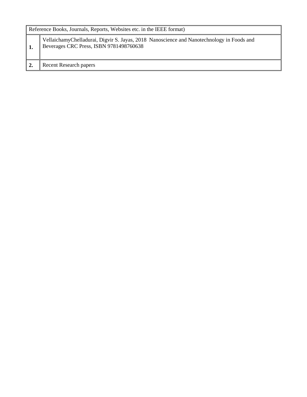| Reference Books, Journals, Reports, Websites etc. in the IEEE format)                                                                |  |  |  |  |  |  |
|--------------------------------------------------------------------------------------------------------------------------------------|--|--|--|--|--|--|
| VellaichamyChelladurai, Digvir S. Jayas, 2018 Nanoscience and Nanotechnology in Foods and<br>Beverages CRC Press, ISBN 9781498760638 |  |  |  |  |  |  |
| Recent Research papers                                                                                                               |  |  |  |  |  |  |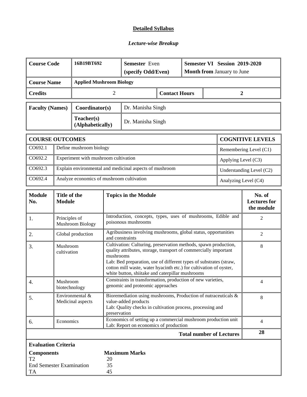#### **Detailed Syllabus**

#### *Lecture-wise Breakup*

| <b>Course Code</b>                                                                  |                                                                                                                      | 16B19BT692                                |                | <b>Semester</b> Even<br>(specify Odd/Even)                                                                                                                                                                                                                                                                                                            |                      | Semester VI Session 2019-2020<br><b>Month from January to June</b> |  |                                 |                                             |
|-------------------------------------------------------------------------------------|----------------------------------------------------------------------------------------------------------------------|-------------------------------------------|----------------|-------------------------------------------------------------------------------------------------------------------------------------------------------------------------------------------------------------------------------------------------------------------------------------------------------------------------------------------------------|----------------------|--------------------------------------------------------------------|--|---------------------------------|---------------------------------------------|
| <b>Applied Mushroom Biology</b><br><b>Course Name</b>                               |                                                                                                                      |                                           |                |                                                                                                                                                                                                                                                                                                                                                       |                      |                                                                    |  |                                 |                                             |
| <b>Credits</b>                                                                      |                                                                                                                      |                                           | $\overline{2}$ |                                                                                                                                                                                                                                                                                                                                                       | <b>Contact Hours</b> |                                                                    |  | $\overline{2}$                  |                                             |
| <b>Faculty (Names)</b>                                                              |                                                                                                                      | Coordinator(s)                            |                | Dr. Manisha Singh                                                                                                                                                                                                                                                                                                                                     |                      |                                                                    |  |                                 |                                             |
|                                                                                     |                                                                                                                      | Teacher(s)<br>(Alphabetically)            |                | Dr. Manisha Singh                                                                                                                                                                                                                                                                                                                                     |                      |                                                                    |  |                                 |                                             |
| <b>COURSE OUTCOMES</b>                                                              |                                                                                                                      |                                           |                |                                                                                                                                                                                                                                                                                                                                                       |                      |                                                                    |  |                                 | <b>COGNITIVE LEVELS</b>                     |
| CO692.1                                                                             |                                                                                                                      | Define mushroom biology                   |                |                                                                                                                                                                                                                                                                                                                                                       |                      |                                                                    |  |                                 | Remembering Level (C1)                      |
| CO692.2                                                                             |                                                                                                                      | Experiment with mushroom cultivation      |                |                                                                                                                                                                                                                                                                                                                                                       |                      |                                                                    |  | Applying Level (C3)             |                                             |
| CO692.3                                                                             |                                                                                                                      |                                           |                | Explain environmental and medicinal aspects of mushroom                                                                                                                                                                                                                                                                                               |                      |                                                                    |  |                                 | Understanding Level (C2)                    |
| CO692.4                                                                             |                                                                                                                      | Analyze economics of mushroom cultivation |                |                                                                                                                                                                                                                                                                                                                                                       |                      |                                                                    |  | Analyzing Level (C4)            |                                             |
| <b>Module</b><br>No.                                                                | Title of the<br><b>Module</b>                                                                                        |                                           |                | <b>Topics in the Module</b>                                                                                                                                                                                                                                                                                                                           |                      |                                                                    |  |                                 | No. of<br><b>Lectures</b> for<br>the module |
| -1.                                                                                 | Principles of                                                                                                        | <b>Mushroom Biology</b>                   |                | Introduction, concepts, types, uses of mushrooms, Edible and<br>2<br>poisonous mushrooms                                                                                                                                                                                                                                                              |                      |                                                                    |  |                                 |                                             |
| 2.                                                                                  | Global production                                                                                                    |                                           |                | Agribusiness involving mushrooms, global status, opportunities<br>and constraints                                                                                                                                                                                                                                                                     |                      |                                                                    |  |                                 | $\mathfrak{2}$                              |
| 3.                                                                                  | Mushroom<br>cultivation                                                                                              |                                           |                | Cultivation: Culturing, preservation methods, spawn production,<br>8<br>quality attributes, storage, transport of commercially important<br>mushrooms<br>Lab: Bed preparation, use of different types of substrates (straw,<br>cotton mill waste, water hyacinth etc.) for cultivation of oyster,<br>white button, shiitake and caterpillar mushrooms |                      |                                                                    |  |                                 |                                             |
| 4.                                                                                  | Mushroom<br>biotechnology                                                                                            |                                           |                | Constraints in transformation, production of new varieties,<br>genomic and proteomic approaches                                                                                                                                                                                                                                                       |                      |                                                                    |  |                                 | 4                                           |
| 5.                                                                                  | Environmental &<br>Medicinal aspects                                                                                 |                                           |                | Bioremediation using mushrooms, Production of nutraceuticals &<br>value-added products<br>Lab: Quality checks in cultivation process, processing and<br>preservation                                                                                                                                                                                  |                      |                                                                    |  | 8                               |                                             |
| 6.                                                                                  | Economics of setting up a commercial mushroom production unit<br>Economics<br>Lab: Report on economics of production |                                           |                |                                                                                                                                                                                                                                                                                                                                                       |                      | $\overline{4}$                                                     |  |                                 |                                             |
|                                                                                     |                                                                                                                      |                                           |                |                                                                                                                                                                                                                                                                                                                                                       |                      |                                                                    |  | <b>Total number of Lectures</b> | 28                                          |
|                                                                                     | <b>Evaluation Criteria</b>                                                                                           |                                           |                |                                                                                                                                                                                                                                                                                                                                                       |                      |                                                                    |  |                                 |                                             |
| <b>Components</b><br>T <sub>2</sub><br><b>End Semester Examination</b><br><b>TA</b> |                                                                                                                      |                                           | 20<br>35<br>45 | <b>Maximum Marks</b>                                                                                                                                                                                                                                                                                                                                  |                      |                                                                    |  |                                 |                                             |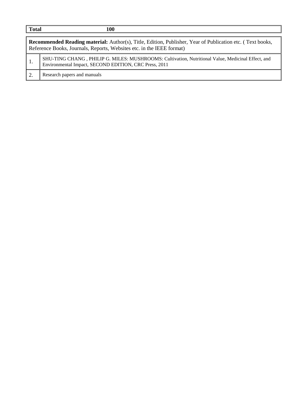| <b>Total</b> | 100                                                                                                                                                                                       |  |  |  |  |  |  |  |
|--------------|-------------------------------------------------------------------------------------------------------------------------------------------------------------------------------------------|--|--|--|--|--|--|--|
|              | <b>Recommended Reading material:</b> Author(s), Title, Edition, Publisher, Year of Publication etc. (Text books,<br>Reference Books, Journals, Reports, Websites etc. in the IEEE format) |  |  |  |  |  |  |  |
| 1.           | SHU-TING CHANG, PHILIP G. MILES: MUSHROOMS: Cultivation, Nutritional Value, Medicinal Effect, and<br>Environmental Impact, SECOND EDITION, CRC Press, 2011                                |  |  |  |  |  |  |  |
|              | Research papers and manuals                                                                                                                                                               |  |  |  |  |  |  |  |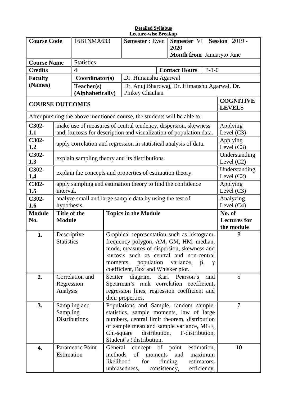|                                      | <b>Detailed Syllabus</b><br><b>Lecture-wise Breakup</b>   |                                                             |                                                                                          |                                                                                                                                       |                                              |                                   |  |  |
|--------------------------------------|-----------------------------------------------------------|-------------------------------------------------------------|------------------------------------------------------------------------------------------|---------------------------------------------------------------------------------------------------------------------------------------|----------------------------------------------|-----------------------------------|--|--|
| <b>Course Code</b>                   |                                                           | 16B1NMA633                                                  |                                                                                          | <b>Semester:</b> Even                                                                                                                 | Semester VI Session 2019 -                   |                                   |  |  |
|                                      |                                                           |                                                             |                                                                                          |                                                                                                                                       | 2020                                         |                                   |  |  |
|                                      |                                                           |                                                             |                                                                                          |                                                                                                                                       | Month from Januaryto June                    |                                   |  |  |
| <b>Course Name</b><br><b>Credits</b> |                                                           | <b>Statistics</b><br>4                                      |                                                                                          |                                                                                                                                       | <b>Contact Hours</b><br>$3 - 1 - 0$          |                                   |  |  |
| <b>Faculty</b>                       |                                                           | Coordinator(s)                                              |                                                                                          | Dr. Himanshu Agarwal                                                                                                                  |                                              |                                   |  |  |
| (Names)                              |                                                           | Teacher(s)                                                  |                                                                                          |                                                                                                                                       | Dr. Anuj Bhardwaj, Dr. Himanshu Agarwal, Dr. |                                   |  |  |
|                                      |                                                           | (Alphabetically)                                            |                                                                                          | Pinkey Chauhan                                                                                                                        |                                              |                                   |  |  |
| <b>COURSE OUTCOMES</b>               |                                                           |                                                             |                                                                                          |                                                                                                                                       |                                              | <b>COGNITIVE</b><br><b>LEVELS</b> |  |  |
|                                      |                                                           |                                                             |                                                                                          | After pursuing the above mentioned course, the students will be able to:                                                              |                                              |                                   |  |  |
| C302-<br>1.1                         |                                                           |                                                             |                                                                                          | make use of measures of central tendency, dispersion, skewness<br>and, kurtosis for description and visualization of population data. |                                              | Applying<br>Level $(C3)$          |  |  |
| C302-<br>1.2                         |                                                           |                                                             |                                                                                          | apply correlation and regression in statistical analysis of data.                                                                     |                                              | Applying<br>Level $(C3)$          |  |  |
| C302-<br>1.3                         |                                                           |                                                             |                                                                                          | explain sampling theory and its distributions.                                                                                        |                                              | Understanding<br>Level $(C2)$     |  |  |
| C302-<br>1.4                         | explain the concepts and properties of estimation theory. | Understanding<br>Level $(C2)$                               |                                                                                          |                                                                                                                                       |                                              |                                   |  |  |
| C302-<br>1.5                         | interval.                                                 | apply sampling and estimation theory to find the confidence | Applying<br>Level $(C3)$                                                                 |                                                                                                                                       |                                              |                                   |  |  |
| C302-<br>1.6                         | hypothesis.                                               |                                                             |                                                                                          | analyze small and large sample data by using the test of                                                                              |                                              | Analyzing<br>Level $(C4)$         |  |  |
| <b>Module</b>                        | Title of the                                              |                                                             |                                                                                          | <b>Topics in the Module</b>                                                                                                           |                                              | No. of                            |  |  |
| No.                                  | <b>Module</b>                                             |                                                             |                                                                                          |                                                                                                                                       | <b>Lectures for</b>                          |                                   |  |  |
|                                      |                                                           |                                                             |                                                                                          |                                                                                                                                       |                                              | the module                        |  |  |
| 1.                                   | Descriptive<br><b>Statistics</b>                          |                                                             |                                                                                          | Graphical representation such as histogram,<br>frequency polygon, AM, GM, HM, median,                                                 | 8                                            |                                   |  |  |
|                                      |                                                           |                                                             |                                                                                          | mode, measures of dispersion, skewness and                                                                                            |                                              |                                   |  |  |
|                                      |                                                           |                                                             |                                                                                          | kurtosis such as central and non-central                                                                                              |                                              |                                   |  |  |
|                                      |                                                           |                                                             | moments,                                                                                 | population variance,                                                                                                                  |                                              |                                   |  |  |
|                                      |                                                           |                                                             |                                                                                          | coefficient, Box and Whisker plot.                                                                                                    |                                              |                                   |  |  |
| 2.                                   | Regression                                                | Correlation and                                             |                                                                                          | Scatter diagram. Karl Pearson's                                                                                                       | and                                          | 5                                 |  |  |
|                                      | Analysis                                                  |                                                             | Spearman's rank correlation coefficient,<br>regression lines, regression coefficient and |                                                                                                                                       |                                              |                                   |  |  |
|                                      |                                                           |                                                             |                                                                                          | their properties.                                                                                                                     |                                              |                                   |  |  |
| 3.                                   |                                                           | Sampling and                                                |                                                                                          |                                                                                                                                       | Populations and Sample, random sample,       | $\overline{7}$                    |  |  |
|                                      | Sampling<br>Distributions                                 |                                                             |                                                                                          | statistics, sample moments, law of large<br>numbers, central limit theorem, distribution                                              |                                              |                                   |  |  |
|                                      |                                                           |                                                             |                                                                                          | of sample mean and sample variance, MGF,                                                                                              |                                              |                                   |  |  |
|                                      |                                                           |                                                             | Chi-square<br>distribution, F-distribution,                                              |                                                                                                                                       |                                              |                                   |  |  |
|                                      |                                                           |                                                             |                                                                                          | Student's <i>t</i> distribution.                                                                                                      |                                              |                                   |  |  |
| 4.                                   |                                                           | Parametric Point                                            | General                                                                                  | concept of point                                                                                                                      | estimation,                                  | 10                                |  |  |
|                                      | Estimation                                                |                                                             | methods<br>likelihood                                                                    | of<br>moments<br>for                                                                                                                  | maximum<br>and<br>finding<br>estimators,     |                                   |  |  |
|                                      |                                                           |                                                             |                                                                                          | unbiasedness,<br>consistency,                                                                                                         | efficiency,                                  |                                   |  |  |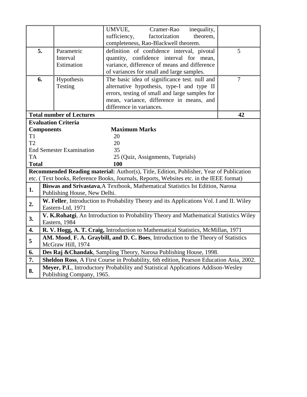|                           |                                                                                         |                                 | UMVUE,<br>Cramer-Rao<br>inequality,                                                     |                |  |  |  |  |  |
|---------------------------|-----------------------------------------------------------------------------------------|---------------------------------|-----------------------------------------------------------------------------------------|----------------|--|--|--|--|--|
|                           |                                                                                         |                                 | sufficiency,<br>factorization<br>theorem,                                               |                |  |  |  |  |  |
|                           |                                                                                         |                                 | completeness, Rao-Blackwell theorem.                                                    |                |  |  |  |  |  |
|                           | 5.                                                                                      | Parametric                      | definition of confidence interval, pivotal                                              | 5              |  |  |  |  |  |
|                           |                                                                                         | Interval                        | quantity, confidence interval for mean,                                                 |                |  |  |  |  |  |
|                           |                                                                                         | Estimation                      | variance, difference of means and difference                                            |                |  |  |  |  |  |
|                           |                                                                                         |                                 | of variances for small and large samples.                                               |                |  |  |  |  |  |
| 6.                        |                                                                                         | Hypothesis                      | The basic idea of significance test. null and                                           | $\overline{7}$ |  |  |  |  |  |
|                           |                                                                                         | Testing                         | alternative hypothesis, type-I and type II                                              |                |  |  |  |  |  |
|                           |                                                                                         |                                 | errors, testing of small and large samples for                                          |                |  |  |  |  |  |
|                           |                                                                                         |                                 | mean, variance, difference in means, and                                                |                |  |  |  |  |  |
|                           |                                                                                         |                                 | difference in variances.                                                                |                |  |  |  |  |  |
|                           |                                                                                         | <b>Total number of Lectures</b> |                                                                                         | 42             |  |  |  |  |  |
|                           |                                                                                         | <b>Evaluation Criteria</b>      |                                                                                         |                |  |  |  |  |  |
|                           | <b>Components</b>                                                                       |                                 | <b>Maximum Marks</b>                                                                    |                |  |  |  |  |  |
| T <sub>1</sub>            |                                                                                         |                                 | 20                                                                                      |                |  |  |  |  |  |
| T2                        |                                                                                         |                                 | 20                                                                                      |                |  |  |  |  |  |
|                           |                                                                                         | <b>End Semester Examination</b> | 35                                                                                      |                |  |  |  |  |  |
| <b>TA</b>                 |                                                                                         |                                 | 25 (Quiz, Assignments, Tutprials)                                                       |                |  |  |  |  |  |
|                           | <b>Total</b><br>100                                                                     |                                 |                                                                                         |                |  |  |  |  |  |
|                           |                                                                                         |                                 | Recommended Reading material: Author(s), Title, Edition, Publisher, Year of Publication |                |  |  |  |  |  |
|                           |                                                                                         |                                 | etc. (Text books, Reference Books, Journals, Reports, Websites etc. in the IEEE format) |                |  |  |  |  |  |
| 1.                        | Biswas and Srivastava, A Textbook, Mathematical Statistics Ist Edition, Narosa          |                                 |                                                                                         |                |  |  |  |  |  |
|                           | Publishing House, New Delhi.                                                            |                                 |                                                                                         |                |  |  |  |  |  |
| 2.                        | W. Feller, Introduction to Probability Theory and its Applications Vol. I and II. Wiley |                                 |                                                                                         |                |  |  |  |  |  |
|                           |                                                                                         | Eastern-Ltd, 1971               |                                                                                         |                |  |  |  |  |  |
| 3.                        |                                                                                         |                                 | V. K.Rohatgi, An Introduction to Probability Theory and Mathematical Statistics Wiley   |                |  |  |  |  |  |
|                           | Eastern, 1984                                                                           |                                 |                                                                                         |                |  |  |  |  |  |
| 4.                        | R. V. Hogg, A. T. Craig, Introduction to Mathematical Statistics, McMillan, 1971        |                                 |                                                                                         |                |  |  |  |  |  |
| 5                         | AM. Mood, F. A. Graybill, and D. C. Boes, Introduction to the Theory of Statistics      |                                 |                                                                                         |                |  |  |  |  |  |
|                           | McGraw Hill, 1974                                                                       |                                 |                                                                                         |                |  |  |  |  |  |
| 6.                        | Des Raj & Chandak, Sampling Theory, Narosa Publishing House, 1998.                      |                                 |                                                                                         |                |  |  |  |  |  |
| 7.                        |                                                                                         |                                 | Sheldon Ross, A First Course in Probability, 6th edition, Pearson Education Asia, 2002. |                |  |  |  |  |  |
| 8.                        |                                                                                         |                                 | Meyer, P.L. Introductory Probability and Statistical Applications Addison-Wesley        |                |  |  |  |  |  |
| Publishing Company, 1965. |                                                                                         |                                 |                                                                                         |                |  |  |  |  |  |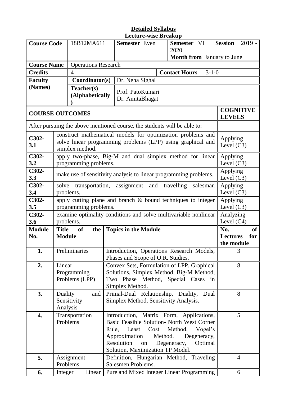| <b>Course Code</b>     |                                                                                                                                                                                                                                                                                                   | 18B12MA611                    |   | <b>Semester</b> Even                                                                                                                         | Semester VI                                              | $2019 -$<br><b>Session</b>        |
|------------------------|---------------------------------------------------------------------------------------------------------------------------------------------------------------------------------------------------------------------------------------------------------------------------------------------------|-------------------------------|---|----------------------------------------------------------------------------------------------------------------------------------------------|----------------------------------------------------------|-----------------------------------|
|                        |                                                                                                                                                                                                                                                                                                   |                               |   |                                                                                                                                              | 2020<br><b>Month from</b> January to June                |                                   |
| <b>Course Name</b>     |                                                                                                                                                                                                                                                                                                   | <b>Operations Research</b>    |   |                                                                                                                                              |                                                          |                                   |
| <b>Credits</b>         |                                                                                                                                                                                                                                                                                                   | 4                             |   |                                                                                                                                              | $3 - 1 - 0$<br><b>Contact Hours</b>                      |                                   |
| <b>Faculty</b>         |                                                                                                                                                                                                                                                                                                   | Coordinator(s)                |   | Dr. Neha Sighal                                                                                                                              |                                                          |                                   |
| (Names)                |                                                                                                                                                                                                                                                                                                   | Teacher(s)<br>(Alphabetically |   | Prof. PatoKumari<br>Dr. AmitaBhagat                                                                                                          |                                                          |                                   |
| <b>COURSE OUTCOMES</b> |                                                                                                                                                                                                                                                                                                   |                               |   |                                                                                                                                              |                                                          | <b>COGNITIVE</b><br><b>LEVELS</b> |
|                        |                                                                                                                                                                                                                                                                                                   |                               |   | After pursuing the above mentioned course, the students will be able to:                                                                     |                                                          |                                   |
| C302-<br>3.1           |                                                                                                                                                                                                                                                                                                   | simplex method.               |   | construct mathematical models for optimization problems and<br>solve linear programming problems (LPP) using graphical and                   |                                                          | Applying<br>Level $(C3)$          |
| C302-<br>3.2           | apply two-phase, Big-M and dual simplex method for linear<br>programming problems.                                                                                                                                                                                                                | Applying<br>Level $(C3)$      |   |                                                                                                                                              |                                                          |                                   |
| C302-<br>3.3           | make use of sensitivity analysis to linear programming problems.                                                                                                                                                                                                                                  | Applying<br>Level $(C3)$      |   |                                                                                                                                              |                                                          |                                   |
| C302-<br>3.4           | solve<br>problems.                                                                                                                                                                                                                                                                                | Applying<br>Level $(C3)$      |   |                                                                                                                                              |                                                          |                                   |
| C302-<br>3.5           | apply cutting plane and branch & bound techniques to integer<br>programming problems.                                                                                                                                                                                                             | Applying<br>Level $(C3)$      |   |                                                                                                                                              |                                                          |                                   |
| C302-<br>3.6           |                                                                                                                                                                                                                                                                                                   | problems.                     |   | examine optimality conditions and solve multivariable nonlinear                                                                              |                                                          | Analyzing<br>Level $(C4)$         |
| <b>Module</b><br>No.   | <b>Title</b><br><b>Module</b>                                                                                                                                                                                                                                                                     | <b>of</b><br>the              |   | <b>Topics in the Module</b>                                                                                                                  | <b>of</b><br>No.<br>for<br><b>Lectures</b><br>the module |                                   |
| 1.                     |                                                                                                                                                                                                                                                                                                   | Preliminaries                 |   | Introduction, Operations Research Models,<br>Phases and Scope of O.R. Studies.                                                               |                                                          | 3                                 |
| 2.                     | Linear<br>Programming<br>Problems (LPP)                                                                                                                                                                                                                                                           |                               |   | Convex Sets, Formulation of LPP, Graphical<br>Solutions, Simplex Method, Big-M Method,<br>Two Phase Method, Special Cases<br>Simplex Method. | in                                                       | 8                                 |
| 3.                     | Duality<br>Sensitivity<br>Analysis                                                                                                                                                                                                                                                                | 8                             |   |                                                                                                                                              |                                                          |                                   |
| 4.                     | Transportation<br>Introduction, Matrix Form, Applications,<br>Problems<br>Basic Feasible Solution- North West Corner<br>Rule,<br>Least<br>Cost<br>Method,<br>Vogel's<br>Method.<br>Approximation<br>Degeneracy,<br>Resolution<br>Degeneracy,<br>Optimal<br>on<br>Solution, Maximization TP Model. |                               |   |                                                                                                                                              |                                                          | 5                                 |
| 5.                     | Problems                                                                                                                                                                                                                                                                                          | Assignment                    |   | Definition, Hungarian Method, Traveling<br>Salesmen Problems.<br>Pure and Mixed Integer Linear Programming                                   |                                                          | $\overline{4}$                    |
| 6.                     | Integer                                                                                                                                                                                                                                                                                           | Linear                        | 6 |                                                                                                                                              |                                                          |                                   |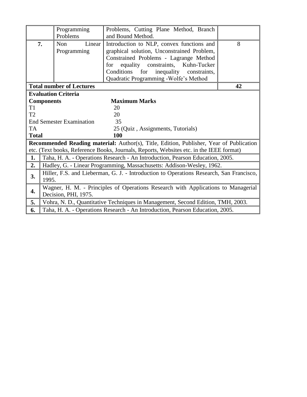|                |                                                                                         | Programming                     | Problems, Cutting Plane Method, Branch                                                         |    |  |  |  |
|----------------|-----------------------------------------------------------------------------------------|---------------------------------|------------------------------------------------------------------------------------------------|----|--|--|--|
|                |                                                                                         | Problems                        | and Bound Method.                                                                              |    |  |  |  |
| 7.             |                                                                                         | Linear<br>Non.                  | Introduction to NLP, convex functions and                                                      | 8  |  |  |  |
|                |                                                                                         | Programming                     | graphical solution, Unconstrained Problem,                                                     |    |  |  |  |
|                |                                                                                         |                                 | Constrained Problems - Lagrange Method                                                         |    |  |  |  |
|                |                                                                                         |                                 | equality constraints, Kuhn-Tucker<br>for                                                       |    |  |  |  |
|                |                                                                                         |                                 | Conditions for<br>inequality constraints,                                                      |    |  |  |  |
|                |                                                                                         |                                 | Quadratic Programming - Wolfe's Method                                                         |    |  |  |  |
|                |                                                                                         | <b>Total number of Lectures</b> |                                                                                                | 42 |  |  |  |
|                |                                                                                         | <b>Evaluation Criteria</b>      |                                                                                                |    |  |  |  |
|                | <b>Components</b>                                                                       |                                 | <b>Maximum Marks</b>                                                                           |    |  |  |  |
| T <sub>1</sub> |                                                                                         |                                 | 20                                                                                             |    |  |  |  |
| T2             |                                                                                         |                                 | 20                                                                                             |    |  |  |  |
|                |                                                                                         | <b>End Semester Examination</b> | 35                                                                                             |    |  |  |  |
| <b>TA</b>      |                                                                                         |                                 | 25 (Quiz, Assignments, Tutorials)                                                              |    |  |  |  |
| <b>Total</b>   |                                                                                         |                                 | <b>100</b>                                                                                     |    |  |  |  |
|                |                                                                                         |                                 | <b>Recommended Reading material:</b> Author(s), Title, Edition, Publisher, Year of Publication |    |  |  |  |
|                |                                                                                         |                                 | etc. (Text books, Reference Books, Journals, Reports, Websites etc. in the IEEE format)        |    |  |  |  |
| 1.             | Taha, H. A. - Operations Research - An Introduction, Pearson Education, 2005.           |                                 |                                                                                                |    |  |  |  |
| 2.             | Hadley, G. - Linear Programming, Massachusetts: Addison-Wesley, 1962.                   |                                 |                                                                                                |    |  |  |  |
|                | Hiller, F.S. and Lieberman, G. J. - Introduction to Operations Research, San Francisco, |                                 |                                                                                                |    |  |  |  |
| 3.             | 1995.                                                                                   |                                 |                                                                                                |    |  |  |  |
|                |                                                                                         |                                 | Wagner, H. M. - Principles of Operations Research with Applications to Managerial              |    |  |  |  |
| 4.             |                                                                                         | Decision, PHI, 1975.            |                                                                                                |    |  |  |  |
| 5.             |                                                                                         |                                 | Vohra, N. D., Quantitative Techniques in Management, Second Edition, TMH, 2003.                |    |  |  |  |
| 6.             |                                                                                         |                                 | Taha, H. A. - Operations Research - An Introduction, Pearson Education, 2005.                  |    |  |  |  |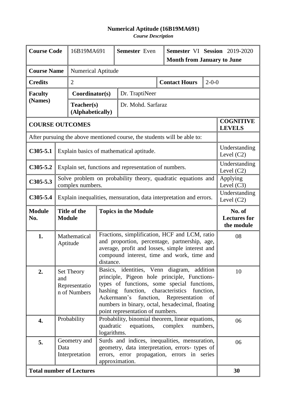# **Numerical Aptitude (16B19MA691)**

*Course Description*

| <b>Course Code</b>                        |                                                                                                                                                                                                                                                                                                                                                                                              | 16B19MA691                                                                                                                       | <b>Semester</b> Even<br>Semester VI Session 2019-2020<br><b>Month from January to June</b>                                                                        |                                                                          |  |                      |                                             |                                   |  |
|-------------------------------------------|----------------------------------------------------------------------------------------------------------------------------------------------------------------------------------------------------------------------------------------------------------------------------------------------------------------------------------------------------------------------------------------------|----------------------------------------------------------------------------------------------------------------------------------|-------------------------------------------------------------------------------------------------------------------------------------------------------------------|--------------------------------------------------------------------------|--|----------------------|---------------------------------------------|-----------------------------------|--|
| <b>Course Name</b>                        |                                                                                                                                                                                                                                                                                                                                                                                              |                                                                                                                                  | <b>Numerical Aptitude</b>                                                                                                                                         |                                                                          |  |                      |                                             |                                   |  |
| <b>Credits</b>                            |                                                                                                                                                                                                                                                                                                                                                                                              | $\overline{2}$                                                                                                                   |                                                                                                                                                                   |                                                                          |  | <b>Contact Hours</b> | $2 - 0 - 0$                                 |                                   |  |
| <b>Faculty</b>                            |                                                                                                                                                                                                                                                                                                                                                                                              | Coordinator(s)                                                                                                                   |                                                                                                                                                                   | Dr. TraptiNeer                                                           |  |                      |                                             |                                   |  |
| (Names)<br>Teacher(s)<br>(Alphabetically) |                                                                                                                                                                                                                                                                                                                                                                                              |                                                                                                                                  |                                                                                                                                                                   | Dr. Mohd. Sarfaraz                                                       |  |                      |                                             |                                   |  |
| <b>COURSE OUTCOMES</b>                    |                                                                                                                                                                                                                                                                                                                                                                                              |                                                                                                                                  |                                                                                                                                                                   |                                                                          |  |                      |                                             | <b>COGNITIVE</b><br><b>LEVELS</b> |  |
|                                           |                                                                                                                                                                                                                                                                                                                                                                                              |                                                                                                                                  |                                                                                                                                                                   | After pursuing the above mentioned course, the students will be able to: |  |                      |                                             |                                   |  |
| $C305-5.1$                                |                                                                                                                                                                                                                                                                                                                                                                                              |                                                                                                                                  |                                                                                                                                                                   | Explain basics of mathematical aptitude.                                 |  |                      |                                             | Understanding<br>Level $(C2)$     |  |
| $C305-5.2$                                |                                                                                                                                                                                                                                                                                                                                                                                              | Explain set, functions and representation of numbers.                                                                            | Understanding<br>Level $(C2)$                                                                                                                                     |                                                                          |  |                      |                                             |                                   |  |
| $C305 - 5.3$                              | Solve problem on probability theory, quadratic equations and<br>complex numbers.                                                                                                                                                                                                                                                                                                             |                                                                                                                                  |                                                                                                                                                                   |                                                                          |  |                      |                                             | Applying<br>Level $(C3)$          |  |
| C305-5.4                                  |                                                                                                                                                                                                                                                                                                                                                                                              | Explain inequalities, mensuration, data interpretation and errors.                                                               | Understanding<br>Level $(C2)$                                                                                                                                     |                                                                          |  |                      |                                             |                                   |  |
| <b>Module</b><br>No.                      | Title of the<br><b>Topics in the Module</b><br><b>Module</b>                                                                                                                                                                                                                                                                                                                                 |                                                                                                                                  |                                                                                                                                                                   |                                                                          |  |                      | No. of<br><b>Lectures for</b><br>the module |                                   |  |
| 1.                                        | Fractions, simplification, HCF and LCM, ratio<br>Mathematical<br>and proportion, percentage, partnership, age,<br>Aptitude<br>average, profit and losses, simple interest and<br>compound interest, time and work, time and<br>distance.                                                                                                                                                     |                                                                                                                                  |                                                                                                                                                                   |                                                                          |  |                      |                                             | 08                                |  |
| 2.                                        | Basics, identities, Venn diagram, addition<br>Set Theory<br>principle, Pigeon hole principle, Functions-<br>and<br>types of functions, some special functions,<br>Representatio<br>function,<br>characteristics<br>hashing<br>function,<br>n of Numbers<br>Ackermann's function, Representation<br>of<br>numbers in binary, octal, hexadecimal, floating<br>point representation of numbers. |                                                                                                                                  |                                                                                                                                                                   |                                                                          |  |                      | 10                                          |                                   |  |
| 4.                                        |                                                                                                                                                                                                                                                                                                                                                                                              | Probability<br>Probability, binomial theorem, linear equations,<br>quadratic<br>equations,<br>complex<br>numbers,<br>logarithms. |                                                                                                                                                                   |                                                                          |  |                      |                                             | 06                                |  |
| 5.                                        | Data                                                                                                                                                                                                                                                                                                                                                                                         | Geometry and<br>Interpretation                                                                                                   | Surds and indices, inequalities, mensuration,<br>geometry, data interpretation, errors- types of<br>errors, error propagation, errors in series<br>approximation. |                                                                          |  |                      |                                             |                                   |  |
|                                           |                                                                                                                                                                                                                                                                                                                                                                                              | <b>Total number of Lectures</b>                                                                                                  |                                                                                                                                                                   |                                                                          |  |                      |                                             | 30                                |  |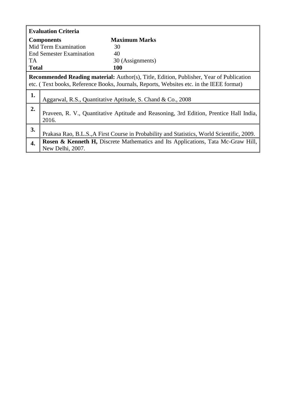|                  | <b>Evaluation Criteria</b>                                                                                                                                                                |                      |  |  |  |  |  |
|------------------|-------------------------------------------------------------------------------------------------------------------------------------------------------------------------------------------|----------------------|--|--|--|--|--|
|                  | <b>Components</b>                                                                                                                                                                         | <b>Maximum Marks</b> |  |  |  |  |  |
|                  | Mid Term Examination                                                                                                                                                                      | 30                   |  |  |  |  |  |
|                  | <b>End Semester Examination</b>                                                                                                                                                           | 40                   |  |  |  |  |  |
| TA.              |                                                                                                                                                                                           | 30 (Assignments)     |  |  |  |  |  |
| <b>Total</b>     |                                                                                                                                                                                           | 100                  |  |  |  |  |  |
|                  | <b>Recommended Reading material:</b> Author(s), Title, Edition, Publisher, Year of Publication<br>etc. (Text books, Reference Books, Journals, Reports, Websites etc. in the IEEE format) |                      |  |  |  |  |  |
| 1.               | Aggarwal, R.S., Quantitative Aptitude, S. Chand & Co., 2008                                                                                                                               |                      |  |  |  |  |  |
| 2.               | Praveen, R. V., Quantitative Aptitude and Reasoning, 3rd Edition, Prentice Hall India,<br>2016.                                                                                           |                      |  |  |  |  |  |
| 3.               | Prakasa Rao, B.L.S., A First Course in Probability and Statistics, World Scientific, 2009.                                                                                                |                      |  |  |  |  |  |
| $\overline{4}$ . | <b>Rosen &amp; Kenneth H, Discrete Mathematics and Its Applications, Tata Mc-Graw Hill,</b><br>New Delhi, 2007.                                                                           |                      |  |  |  |  |  |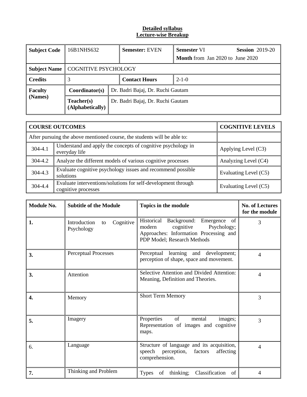| <b>Subject Code</b> | 16B1NHS632                     |                                   | <b>Semester: EVEN</b>             | <b>Semester VI</b>                      | <b>Session</b> 2019-20 |  |
|---------------------|--------------------------------|-----------------------------------|-----------------------------------|-----------------------------------------|------------------------|--|
|                     |                                |                                   |                                   | <b>Month</b> from Jan 2020 to June 2020 |                        |  |
| <b>Subject Name</b> | COGNITIVE PSYCHOLOGY           |                                   |                                   |                                         |                        |  |
| <b>Credits</b>      |                                |                                   | <b>Contact Hours</b>              | $2 - 1 - 0$                             |                        |  |
| <b>Faculty</b>      | Coordinator(s)                 |                                   | Dr. Badri Bajaj, Dr. Ruchi Gautam |                                         |                        |  |
| (Names)             | Teacher(s)<br>(Alphabetically) | Dr. Badri Bajaj, Dr. Ruchi Gautam |                                   |                                         |                        |  |

|                                                                                          | <b>COURSE OUTCOMES</b>                                                               | <b>COGNITIVE LEVELS</b> |
|------------------------------------------------------------------------------------------|--------------------------------------------------------------------------------------|-------------------------|
|                                                                                          | After pursuing the above mentioned course, the students will be able to:             |                         |
| Understand and apply the concepts of cognitive psychology in<br>304-4.1<br>everyday life |                                                                                      | Applying Level (C3)     |
| 304-4.2                                                                                  | Analyze the different models of various cognitive processes<br>Analyzing Level (C4)  |                         |
| 304-4.3                                                                                  | Evaluate cognitive psychology issues and recommend possible<br>solutions             | Evaluating Level (C5)   |
| 304-4.4                                                                                  | Evaluate interventions/solutions for self-development through<br>cognitive processes | Evaluating Level (C5)   |

| Module No. | <b>Subtitle of the Module</b>                 | Topics in the module                                                                                                                                     | <b>No. of Lectures</b><br>for the module |
|------------|-----------------------------------------------|----------------------------------------------------------------------------------------------------------------------------------------------------------|------------------------------------------|
| 1.         | Cognitive<br>Introduction<br>to<br>Psychology | Historical<br>Background: Emergence<br>of<br>modern<br>cognitive<br>Psychology;<br>Approaches: Information Processing and<br>PDP Model; Research Methods | 3                                        |
| 3.         | <b>Perceptual Processes</b>                   | Perceptual learning and development;<br>perception of shape, space and movement.                                                                         | 4                                        |
| 3.         | Attention                                     | Selective Attention and Divided Attention:<br>Meaning, Definition and Theories.                                                                          | 4                                        |
| 4.         | Memory                                        | <b>Short Term Memory</b>                                                                                                                                 | 3                                        |
| 5.         | Imagery                                       | of<br>Properties<br>mental<br>images;<br>Representation of images and cognitive<br>maps.                                                                 | 3                                        |
| 6.         | Language                                      | Structure of language and its acquisition,<br>speech<br>perception,<br>factors<br>affecting<br>comprehension.                                            | 4                                        |
| 7.         | Thinking and Problem                          | Classification<br><b>Types</b><br>of thinking;<br>of                                                                                                     | 4                                        |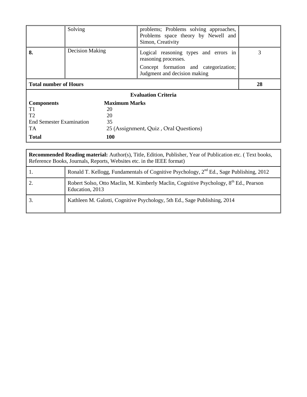|                                 | Solving                | problems; Problems solving approaches,<br>Problems space theory by Newell and<br>Simon, Creativity |    |
|---------------------------------|------------------------|----------------------------------------------------------------------------------------------------|----|
| 8.                              | <b>Decision Making</b> | Logical reasoning types and errors in<br>reasoning processes.                                      | 3  |
|                                 |                        | Concept formation and categorization;<br>Judgment and decision making                              |    |
| <b>Total number of Hours</b>    |                        |                                                                                                    | 28 |
|                                 |                        | <b>Evaluation Criteria</b>                                                                         |    |
| <b>Components</b>               | <b>Maximum Marks</b>   |                                                                                                    |    |
| T1                              | 20                     |                                                                                                    |    |
| T <sub>2</sub>                  | 20                     |                                                                                                    |    |
| <b>End Semester Examination</b> | 35                     |                                                                                                    |    |
| TA.                             |                        | 25 (Assignment, Quiz, Oral Questions)                                                              |    |
| <b>Total</b>                    | <b>100</b>             |                                                                                                    |    |

| Recommended Reading material: Author(s), Title, Edition, Publisher, Year of Publication etc. (Text books,<br>Reference Books, Journals, Reports, Websites etc. in the IEEE format) |                                                                                                                      |  |
|------------------------------------------------------------------------------------------------------------------------------------------------------------------------------------|----------------------------------------------------------------------------------------------------------------------|--|
| 1.                                                                                                                                                                                 | Ronald T. Kellogg, Fundamentals of Cognitive Psychology, $2^{nd}$ Ed., Sage Publishing, 2012                         |  |
|                                                                                                                                                                                    | Robert Solso, Otto Maclin, M. Kimberly Maclin, Cognitive Psychology, 8 <sup>th</sup> Ed., Pearson<br>Education, 2013 |  |
| 3.                                                                                                                                                                                 | Kathleen M. Galotti, Cognitive Psychology, 5th Ed., Sage Publishing, 2014                                            |  |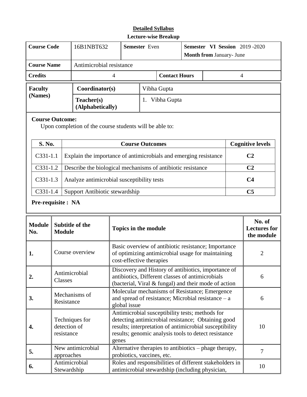| <b>Course Code</b> | 16B1NBT632                     | <b>Semester</b> Even |             | <b>Semester VI Session</b> 2019 -2020<br><b>Month from January- June</b> |  |  |
|--------------------|--------------------------------|----------------------|-------------|--------------------------------------------------------------------------|--|--|
|                    |                                |                      |             |                                                                          |  |  |
| <b>Course Name</b> | Antimicrobial resistance       |                      |             |                                                                          |  |  |
| <b>Credits</b>     | 4                              |                      |             | <b>Contact Hours</b>                                                     |  |  |
| <b>Faculty</b>     | Coordinator(s)                 |                      | Vibha Gupta |                                                                          |  |  |
| (Names)            | Teacher(s)<br>(Alphabetically) | Vibha Gupta          |             |                                                                          |  |  |

### **Course Outcome:**

Upon completion of the course students will be able to:

| <b>S. No.</b> | <b>Course Outcomes</b>                                                 | <b>Cognitive levels</b> |
|---------------|------------------------------------------------------------------------|-------------------------|
| $C331-1.1$    | Explain the importance of antimicrobials and emerging resistance       | <b>C2</b>               |
|               | $C331-1.2$ Describe the biological mechanisms of antibiotic resistance | C2                      |
| $C331-1.3$    | Analyze antimicrobial susceptibility tests                             | C4                      |
| $C331-1.4$    | Support Antibiotic stewardship                                         | C5                      |

# **Pre-requisite : NA**

| <b>Module</b><br>No. | <b>Subtitle of the</b><br><b>Module</b>      | <b>Topics in the module</b>                                                                                                                                                                                                       | No. of<br><b>Lectures for</b><br>the module |
|----------------------|----------------------------------------------|-----------------------------------------------------------------------------------------------------------------------------------------------------------------------------------------------------------------------------------|---------------------------------------------|
| 1.                   | Course overview                              | Basic overview of antibiotic resistance; Importance<br>of optimizing antimicrobial usage for maintaining<br>cost-effective therapies                                                                                              | $\overline{2}$                              |
| 2.                   | Antimicrobial<br>Classes                     | Discovery and History of antibiotics, importance of<br>antibiotics, Different classes of antimicrobials<br>(bacterial, Viral & fungal) and their mode of action                                                                   | 6                                           |
| 3.                   | Mechanisms of<br>Resistance                  | Molecular mechanisms of Resistance; Emergence<br>and spread of resistance; Microbial resistance $-$ a<br>global issue                                                                                                             | 6                                           |
| 4.                   | Techniques for<br>detection of<br>resistance | Antimicrobial susceptibility tests; methods for<br>detecting antimicrobial resistance; Obtaining good<br>results; interpretation of antimicrobial susceptibility<br>results; genomic analysis tools to detect resistance<br>genes | 10                                          |
| 5.                   | New antimicrobial<br>approaches              | Alternative therapies to antibiotics – phage therapy,<br>probiotics, vaccines, etc.                                                                                                                                               | 7                                           |
| 6.                   | Antimicrobial<br>Stewardship                 | Roles and responsibilities of different stakeholders in<br>antimicrobial stewardship (including physician,                                                                                                                        | 10                                          |